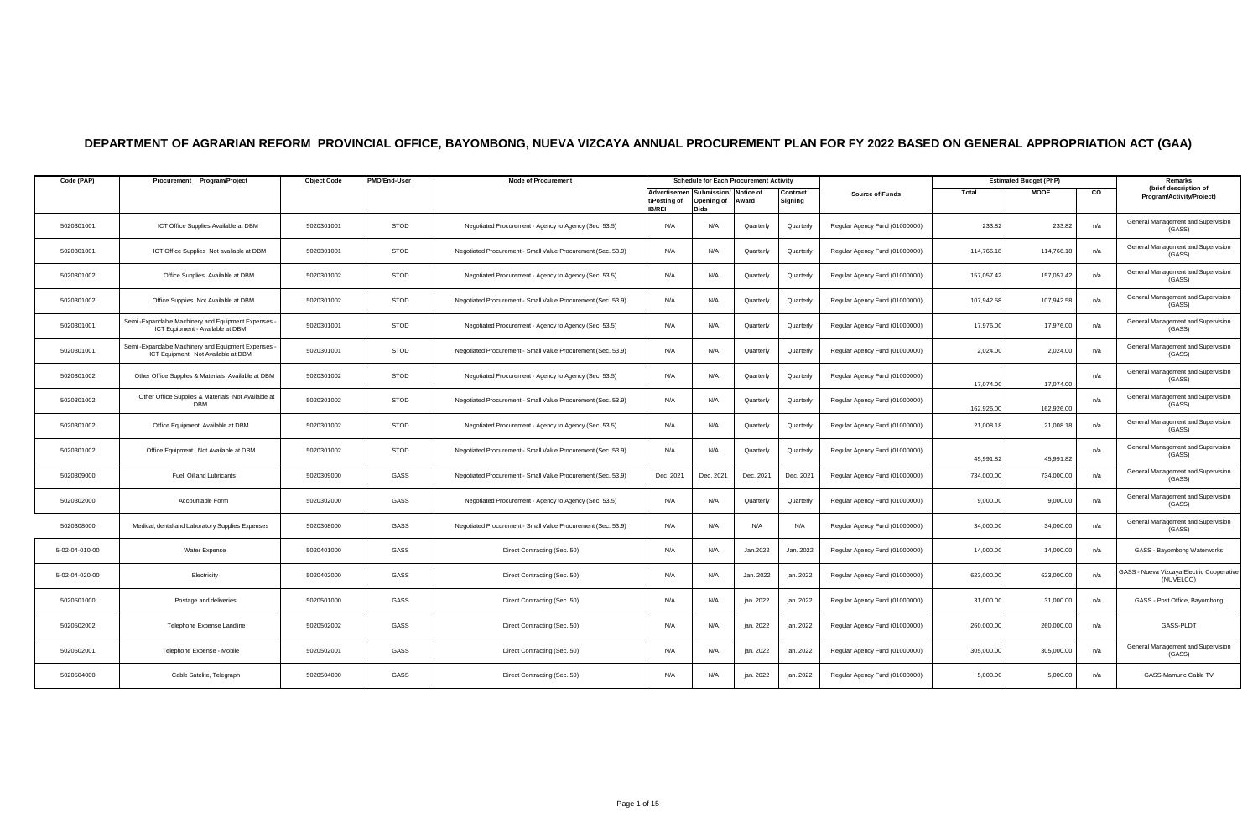## **DEPARTMENT OF AGRARIAN REFORM PROVINCIAL OFFICE, BAYOMBONG, NUEVA VIZCAYA ANNUAL PROCUREMENT PLAN FOR FY 2022 BASED ON GENERAL APPROPRIATION ACT (GAA)**

| Code (PAP)     | Procurement Program/Project                                                                | <b>Object Code</b> | PMO/End-User | <b>Mode of Procurement</b>                                   |                                               | <b>Schedule for Each Procurement Activity</b> |           |                     |                                |            | <b>Estimated Budget (PhP)</b> |     | Remarks                                               |
|----------------|--------------------------------------------------------------------------------------------|--------------------|--------------|--------------------------------------------------------------|-----------------------------------------------|-----------------------------------------------|-----------|---------------------|--------------------------------|------------|-------------------------------|-----|-------------------------------------------------------|
|                |                                                                                            |                    |              |                                                              | Advertisemen<br>t/Posting of<br><b>IB/REI</b> | Submission/ Notice of<br>Opening of<br>Bids   | Award     | Contract<br>Signing | <b>Source of Funds</b>         | Total      | <b>MOOE</b>                   | CO  | (brief description of<br>Program/Activity/Project)    |
| 5020301001     | ICT Office Supplies Available at DBM                                                       | 5020301001         | STOD         | Negotiated Procurement - Agency to Agency (Sec. 53.5)        | N/A                                           | N/A                                           | Quarterly | Quarterly           | Regular Agency Fund (01000000) | 233.82     | 233.82                        | n/a | General Management and Supervision<br>(GASS)          |
| 5020301001     | ICT Office Supplies Not available at DBM                                                   | 5020301001         | STOD         | Negotiated Procurement - Small Value Procurement (Sec. 53.9) | N/A                                           | N/A                                           | Quarterly | Quarterly           | Regular Agency Fund (01000000) | 114,766.18 | 114,766.18                    | n/a | General Management and Supervision<br>(GASS)          |
| 5020301002     | Office Supplies Available at DBM                                                           | 5020301002         | STOD         | Negotiated Procurement - Agency to Agency (Sec. 53.5)        | N/A                                           | N/A                                           | Quarterly | Quarterly           | Regular Agency Fund (01000000) | 157,057.42 | 157,057.42                    | n/a | General Management and Supervision<br>(GASS)          |
| 5020301002     | Office Supplies Not Available at DBM                                                       | 5020301002         | <b>STOD</b>  | Negotiated Procurement - Small Value Procurement (Sec. 53.9) | N/A                                           | N/A                                           | Quarterly | Quarterly           | Regular Agency Fund (01000000) | 107,942.58 | 107,942.58                    | n/a | General Management and Supervision<br>(GASS)          |
| 5020301001     | Semi - Expandable Machinery and Equipment Expenses -<br>ICT Equipment - Available at DBM   | 5020301001         | STOD         | Negotiated Procurement - Agency to Agency (Sec. 53.5)        | N/A                                           | N/A                                           | Quarterly | Quarterly           | Regular Agency Fund (01000000) | 17,976.00  | 17,976.00                     | n/a | General Management and Supervision<br>(GASS)          |
| 5020301001     | Semi - Expandable Machinery and Equipment Expenses -<br>ICT Equipment Not Available at DBM | 5020301001         | STOD         | Negotiated Procurement - Small Value Procurement (Sec. 53.9) | N/A                                           | N/A                                           | Quarterly | Quarterly           | Regular Agency Fund (01000000) | 2,024.00   | 2,024.00                      | n/a | General Management and Supervision<br>(GASS)          |
| 5020301002     | Other Office Supplies & Materials Available at DBM                                         | 5020301002         | STOD         | Negotiated Procurement - Agency to Agency (Sec. 53.5)        | N/A                                           | N/A                                           | Quarterly | Quarterly           | Regular Agency Fund (01000000) | 17.074.00  | 17.074.00                     | n/a | General Management and Supervision<br>(GASS)          |
| 5020301002     | Other Office Supplies & Materials Not Available at<br><b>DBM</b>                           | 5020301002         | <b>STOD</b>  | Negotiated Procurement - Small Value Procurement (Sec. 53.9) | N/A                                           | N/A                                           | Quarterly | Quarterly           | Regular Agency Fund (01000000) | 162,926.00 | 162,926.00                    | n/a | General Management and Supervision<br>(GASS)          |
| 5020301002     | Office Equipment Available at DBM                                                          | 5020301002         | STOD         | Negotiated Procurement - Agency to Agency (Sec. 53.5)        | N/A                                           | N/A                                           | Quarterly | Quarterly           | Regular Agency Fund (01000000) | 21,008.18  | 21,008.18                     | n/a | General Management and Supervision<br>(GASS)          |
| 5020301002     | Office Equipment Not Available at DBM                                                      | 5020301002         | <b>STOD</b>  | Negotiated Procurement - Small Value Procurement (Sec. 53.9) | N/A                                           | N/A                                           | Quarterly | Quarterly           | Regular Agency Fund (01000000) | 45.991.82  | 45,991.82                     | n/a | General Management and Supervision<br>(GASS)          |
| 5020309000     | Fuel, Oil and Lubricants                                                                   | 5020309000         | GASS         | Negotiated Procurement - Small Value Procurement (Sec. 53.9) | Dec. 2021                                     | Dec. 2021                                     | Dec. 2021 | Dec. 2021           | Regular Agency Fund (01000000) | 734,000.00 | 734,000.00                    | n/a | General Management and Supervision<br>(GASS)          |
| 5020302000     | Accountable Form                                                                           | 5020302000         | GASS         | Negotiated Procurement - Agency to Agency (Sec. 53.5)        | N/A                                           | N/A                                           | Quarterly | Quarterly           | Regular Agency Fund (01000000) | 9,000.00   | 9,000.00                      | n/a | General Management and Supervision<br>(GASS)          |
| 5020308000     | Medical, dental and Laboratory Supplies Expenses                                           | 5020308000         | GASS         | Negotiated Procurement - Small Value Procurement (Sec. 53.9) | N/A                                           | N/A                                           | N/A       | N/A                 | Regular Agency Fund (01000000) | 34,000.00  | 34,000.00                     | n/a | General Management and Supervision<br>(GASS)          |
| 5-02-04-010-00 | Water Expense                                                                              | 5020401000         | GASS         | Direct Contracting (Sec. 50)                                 | N/A                                           | N/A                                           | Jan.2022  | Jan. 2022           | Regular Agency Fund (01000000) | 14,000.00  | 14,000.00                     | n/a | GASS - Bayombong Waterworks                           |
| 5-02-04-020-00 | Electricity                                                                                | 5020402000         | GASS         | Direct Contracting (Sec. 50)                                 | N/A                                           | N/A                                           | Jan. 2022 | jan. 2022           | Regular Agency Fund (01000000) | 623,000.00 | 623,000.00                    | n/a | ASS - Nueva Vizcaya Electric Cooperative<br>(NUVELCO) |
| 5020501000     | Postage and deliveries                                                                     | 5020501000         | GASS         | Direct Contracting (Sec. 50)                                 | N/A                                           | N/A                                           | jan. 2022 | jan. 2022           | Regular Agency Fund (01000000) | 31,000.00  | 31,000.00                     | n/a | GASS - Post Office, Bayombong                         |
| 5020502002     | Telephone Expense Landline                                                                 | 5020502002         | GASS         | Direct Contracting (Sec. 50)                                 | N/A                                           | N/A                                           | jan. 2022 | jan. 2022           | Regular Agency Fund (01000000) | 260,000.00 | 260,000.00                    | n/a | GASS-PLDT                                             |
| 5020502001     | Telephone Expense - Mobile                                                                 | 5020502001         | GASS         | Direct Contracting (Sec. 50)                                 | N/A                                           | N/A                                           | jan. 2022 | jan. 2022           | Regular Agency Fund (01000000) | 305,000.00 | 305,000.00                    | n/a | General Management and Supervision<br>(GASS)          |
| 5020504000     | Cable Satelite, Telegraph                                                                  | 5020504000         | GASS         | Direct Contracting (Sec. 50)                                 | N/A                                           | N/A                                           | jan. 2022 | jan. 2022           | Regular Agency Fund (01000000) | 5,000.00   | 5,000.00                      | n/a | GASS-Mamuric Cable TV                                 |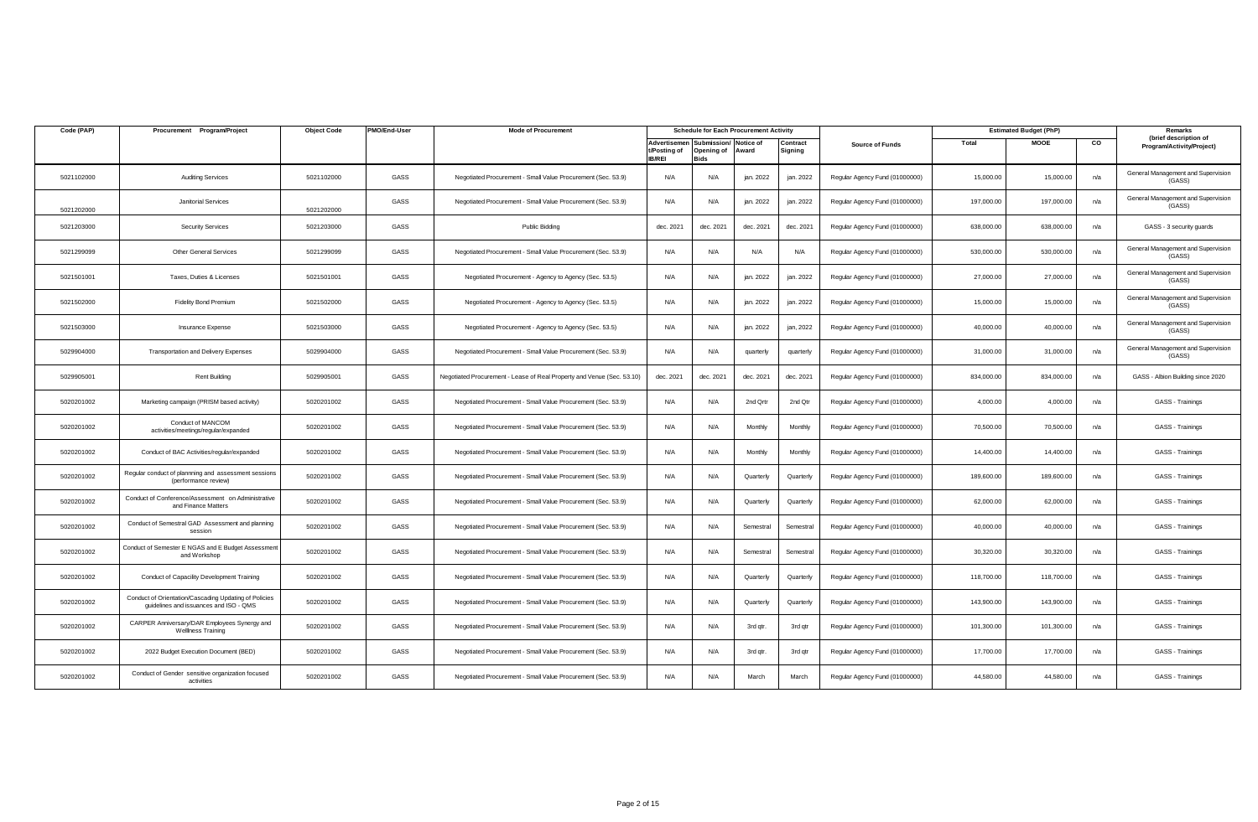| Code (PAP) | Procurement Program/Project                                                                     | <b>Object Code</b> | PMO/End-User | <b>Mode of Procurement</b>                                             |                               |                                                                       | <b>Schedule for Each Procurement Activity</b> |                    |                                |            | <b>Estimated Budget (PhP)</b> |                | Remarks                                            |
|------------|-------------------------------------------------------------------------------------------------|--------------------|--------------|------------------------------------------------------------------------|-------------------------------|-----------------------------------------------------------------------|-----------------------------------------------|--------------------|--------------------------------|------------|-------------------------------|----------------|----------------------------------------------------|
|            |                                                                                                 |                    |              |                                                                        | t/Posting of<br><b>IB/REI</b> | Advertisemen Submission/ Notice of<br>Opening of Award<br><b>Bids</b> |                                               | Contract<br>ianina | <b>Source of Funds</b>         | Total      | <b>MOOE</b>                   | $\overline{c}$ | (brief description of<br>Program/Activity/Project) |
| 5021102000 | <b>Auditing Services</b>                                                                        | 5021102000         | GASS         | Negotiated Procurement - Small Value Procurement (Sec. 53.9)           | N/A                           | N/A                                                                   | jan. 2022                                     | jan. 2022          | Regular Agency Fund (01000000) | 15,000.00  | 15,000.00                     | n/a            | General Management and Supervision<br>(GASS)       |
| 5021202000 | Janitorial Services                                                                             | 5021202000         | GASS         | Negotiated Procurement - Small Value Procurement (Sec. 53.9)           | N/A                           | N/A                                                                   | jan. 2022                                     | jan. 2022          | Regular Agency Fund (01000000) | 197,000.00 | 197,000.00                    | n/a            | General Management and Supervision<br>(GASS)       |
| 5021203000 | <b>Security Services</b>                                                                        | 5021203000         | GASS         | Public Bidding                                                         | dec. 2021                     | dec. 2021                                                             | dec. 2021                                     | dec. 2021          | Regular Agency Fund (01000000) | 638,000.00 | 638,000.00                    | n/a            | GASS - 3 security guards                           |
| 5021299099 | <b>Other General Services</b>                                                                   | 5021299099         | GASS         | Negotiated Procurement - Small Value Procurement (Sec. 53.9)           | N/A                           | N/A                                                                   | N/A                                           | N/A                | Regular Agency Fund (01000000) | 530,000.00 | 530,000.00                    | n/a            | General Management and Supervision<br>(GASS)       |
| 5021501001 | Taxes, Duties & Licenses                                                                        | 5021501001         | GASS         | Negotiated Procurement - Agency to Agency (Sec. 53.5)                  | N/A                           | N/A                                                                   | jan. 2022                                     | jan. 2022          | Regular Agency Fund (01000000) | 27,000.00  | 27,000.00                     | n/a            | General Management and Supervision<br>(GASS)       |
| 5021502000 | <b>Fidelity Bond Premium</b>                                                                    | 5021502000         | GASS         | Negotiated Procurement - Agency to Agency (Sec. 53.5)                  | N/A                           | N/A                                                                   | jan. 2022                                     | jan. 2022          | Regular Agency Fund (01000000) | 15,000.00  | 15,000.00                     | n/a            | General Management and Supervision<br>(GASS)       |
| 5021503000 | Insurance Expense                                                                               | 5021503000         | GASS         | Negotiated Procurement - Agency to Agency (Sec. 53.5)                  | N/A                           | N/A                                                                   | jan. 2022                                     | jan, 2022          | Regular Agency Fund (01000000) | 40,000.00  | 40,000.00                     | n/a            | General Management and Supervision<br>(GASS)       |
| 5029904000 | <b>Transportation and Delivery Expenses</b>                                                     | 5029904000         | GASS         | Negotiated Procurement - Small Value Procurement (Sec. 53.9)           | N/A                           | N/A                                                                   | quarterly                                     | quarterly          | Regular Agency Fund (01000000) | 31,000.00  | 31,000.00                     | n/a            | General Management and Supervision<br>(GASS)       |
| 5029905001 | Rent Building                                                                                   | 5029905001         | GASS         | Negotiated Procurement - Lease of Real Property and Venue (Sec. 53.10) | dec. 2021                     | dec. 2021                                                             | dec. 2021                                     | dec. 2021          | Regular Agency Fund (01000000) | 834,000.00 | 834,000.00                    | n/a            | GASS - Albion Building since 2020                  |
| 5020201002 | Marketing campaign (PRISM based activity)                                                       | 5020201002         | GASS         | Negotiated Procurement - Small Value Procurement (Sec. 53.9)           | N/A                           | N/A                                                                   | 2nd Qrtr                                      | 2nd Qtr            | Regular Agency Fund (01000000) | 4,000.00   | 4,000.00                      | n/a            | GASS - Trainings                                   |
| 5020201002 | Conduct of MANCOM<br>activities/meetings/regular/expanded                                       | 5020201002         | GASS         | Negotiated Procurement - Small Value Procurement (Sec. 53.9)           | N/A                           | N/A                                                                   | Monthly                                       | Monthly            | Regular Agency Fund (01000000) | 70,500.00  | 70,500.00                     | n/a            | GASS - Trainings                                   |
| 5020201002 | Conduct of BAC Activities/regular/expanded                                                      | 5020201002         | GASS         | Negotiated Procurement - Small Value Procurement (Sec. 53.9)           | N/A                           | N/A                                                                   | Monthly                                       | Monthly            | Regular Agency Fund (01000000) | 14,400.00  | 14,400.00                     | n/a            | GASS - Trainings                                   |
| 5020201002 | Regular conduct of plannning and assessment sessions<br>(performance review)                    | 5020201002         | GASS         | Negotiated Procurement - Small Value Procurement (Sec. 53.9)           | N/A                           | N/A                                                                   | Quarterly                                     | Quarterly          | Regular Agency Fund (01000000) | 189,600.00 | 189,600.00                    | n/a            | GASS - Trainings                                   |
| 5020201002 | Conduct of Conference/Assessment on Administrative<br>and Finance Matters                       | 5020201002         | GASS         | Negotiated Procurement - Small Value Procurement (Sec. 53.9)           | N/A                           | N/A                                                                   | Quarterly                                     | Quarterly          | Regular Agency Fund (01000000) | 62,000.00  | 62,000.00                     | n/a            | GASS - Trainings                                   |
| 5020201002 | Conduct of Semestral GAD Assessment and planning<br>session                                     | 5020201002         | GASS         | Negotiated Procurement - Small Value Procurement (Sec. 53.9)           | N/A                           | N/A                                                                   | Semestral                                     | Semestral          | Regular Agency Fund (01000000) | 40,000.00  | 40,000.00                     | n/a            | GASS - Trainings                                   |
| 5020201002 | Conduct of Semester E NGAS and E Budget Assessment<br>and Workshop                              | 5020201002         | GASS         | Negotiated Procurement - Small Value Procurement (Sec. 53.9)           | N/A                           | N/A                                                                   | Semestral                                     | Semestral          | Regular Agency Fund (01000000) | 30,320.00  | 30,320.00                     | n/a            | GASS - Trainings                                   |
| 5020201002 | Conduct of Capacility Development Training                                                      | 5020201002         | GASS         | Negotiated Procurement - Small Value Procurement (Sec. 53.9)           | N/A                           | N/A                                                                   | Quarterly                                     | Quarterly          | Regular Agency Fund (01000000) | 118,700.00 | 118,700.00                    | n/a            | GASS - Trainings                                   |
| 5020201002 | Conduct of Orientation/Cascading Updating of Policies<br>guidelines and issuances and ISO - QMS | 5020201002         | GASS         | Negotiated Procurement - Small Value Procurement (Sec. 53.9)           | N/A                           | N/A                                                                   | Quarterly                                     | Quarterly          | Regular Agency Fund (01000000) | 143,900.00 | 143,900.00                    | n/a            | GASS - Trainings                                   |
| 5020201002 | CARPER Anniversary/DAR Employees Synergy and<br><b>Wellness Training</b>                        | 5020201002         | GASS         | Negotiated Procurement - Small Value Procurement (Sec. 53.9)           | N/A                           | N/A                                                                   | 3rd qtr.                                      | 3rd qtr            | Regular Agency Fund (01000000) | 101,300.00 | 101,300.00                    | n/a            | GASS - Trainings                                   |
| 5020201002 | 2022 Budget Execution Document (BED)                                                            | 5020201002         | GASS         | Negotiated Procurement - Small Value Procurement (Sec. 53.9)           | N/A                           | N/A                                                                   | 3rd gtr.                                      | 3rd qtr            | Regular Agency Fund (01000000) | 17,700.00  | 17,700.00                     | n/a            | GASS - Trainings                                   |
| 5020201002 | Conduct of Gender sensitive organization focused<br>activities                                  | 5020201002         | GASS         | Negotiated Procurement - Small Value Procurement (Sec. 53.9)           | N/A                           | N/A                                                                   | March                                         | March              | Regular Agency Fund (01000000) | 44,580.00  | 44,580.00                     | n/a            | GASS - Trainings                                   |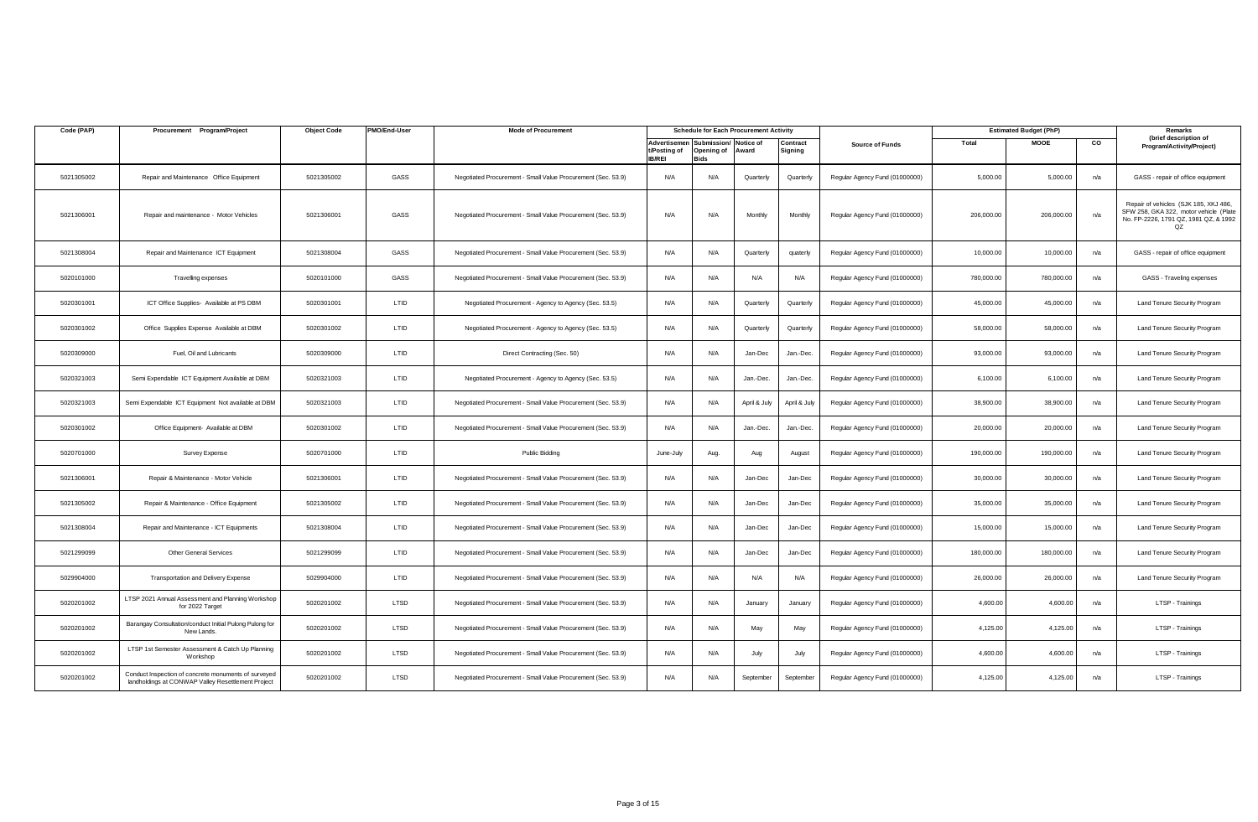| Code (PAP) | Procurement Program/Project                                                                                | <b>Object Code</b> | PMO/End-User | <b>Mode of Procurement</b>                                   |                                               |                                   | <b>Schedule for Each Procurement Activity</b> |                     |                                |            | <b>Estimated Budget (PhP)</b> |     | Remarks                                                                                                                        |
|------------|------------------------------------------------------------------------------------------------------------|--------------------|--------------|--------------------------------------------------------------|-----------------------------------------------|-----------------------------------|-----------------------------------------------|---------------------|--------------------------------|------------|-------------------------------|-----|--------------------------------------------------------------------------------------------------------------------------------|
|            |                                                                                                            |                    |              |                                                              | Advertisemer<br>t/Posting of<br><b>IB/REI</b> | Submission/<br>Opening of<br>Bids | Notice of<br>Award                            | Contract<br>Signing | <b>Source of Funds</b>         | Total      | MOOE                          | CO  | (brief description of<br>Program/Activity/Project)                                                                             |
| 5021305002 | Repair and Maintenance Office Equipment                                                                    | 5021305002         | GASS         | Negotiated Procurement - Small Value Procurement (Sec. 53.9) | N/A                                           | N/A                               | Quarterly                                     | Quarterly           | Regular Agency Fund (01000000) | 5,000.00   | 5,000.00                      | n/a | GASS - repair of office equipment                                                                                              |
| 5021306001 | Repair and maintenance - Motor Vehicles                                                                    | 5021306001         | GASS         | Negotiated Procurement - Small Value Procurement (Sec. 53.9) | N/A                                           | N/A                               | Monthly                                       | Monthly             | Regular Agency Fund (01000000) | 206,000.00 | 206,000.00                    | n/a | Repair of vehicles (SJK 185, XKJ 486,<br>SFW 258, GKA 322, motor vehicle (Plate<br>No. FP-2226, 1791 QZ, 1981 QZ, & 1992<br>OZ |
| 5021308004 | Repair and Maintenance ICT Equipment                                                                       | 5021308004         | GASS         | Negotiated Procurement - Small Value Procurement (Sec. 53.9) | N/A                                           | N/A                               | Quarterly                                     | quaterly            | Regular Agency Fund (01000000) | 10,000.00  | 10,000.00                     | n/a | GASS - repair of office equipment                                                                                              |
| 5020101000 | Travelling expenses                                                                                        | 5020101000         | GASS         | Negotiated Procurement - Small Value Procurement (Sec. 53.9) | N/A                                           | N/A                               | N/A                                           | N/A                 | Regular Agency Fund (01000000) | 780,000.00 | 780,000.00                    | n/a | GASS - Traveling expenses                                                                                                      |
| 5020301001 | ICT Office Supplies- Available at PS DBM                                                                   | 5020301001         | LTID         | Negotiated Procurement - Agency to Agency (Sec. 53.5)        | N/A                                           | N/A                               | Quarterly                                     | Quarterly           | Regular Agency Fund (01000000) | 45,000.00  | 45,000.00                     | n/a | Land Tenure Security Program                                                                                                   |
| 5020301002 | Office Supplies Expense Available at DBM                                                                   | 5020301002         | LTID         | Negotiated Procurement - Agency to Agency (Sec. 53.5)        | N/A                                           | N/A                               | Quarterly                                     | Quarterly           | Regular Agency Fund (01000000) | 58,000.00  | 58,000.00                     | n/a | Land Tenure Security Program                                                                                                   |
| 5020309000 | Fuel, Oil and Lubricants                                                                                   | 5020309000         | LTID         | Direct Contracting (Sec. 50)                                 | N/A                                           | N/A                               | Jan-Dec                                       | Jan.-Dec.           | Regular Agency Fund (01000000) | 93,000.00  | 93,000.00                     | n/a | Land Tenure Security Program                                                                                                   |
| 5020321003 | Semi Expendable ICT Equipment Available at DBM                                                             | 5020321003         | LTID         | Negotiated Procurement - Agency to Agency (Sec. 53.5)        | N/A                                           | N/A                               | Jan.-Dec.                                     | Jan.-Dec.           | Regular Agency Fund (01000000) | 6,100.00   | 6,100.00                      | n/a | Land Tenure Security Program                                                                                                   |
| 5020321003 | Semi Expendable ICT Equipment Not available at DBM                                                         | 5020321003         | LTID         | Negotiated Procurement - Small Value Procurement (Sec. 53.9) | N/A                                           | N/A                               | April & July                                  | April & July        | Regular Agency Fund (01000000) | 38,900.00  | 38,900.00                     | n/a | Land Tenure Security Program                                                                                                   |
| 5020301002 | Office Equipment- Available at DBM                                                                         | 5020301002         | LTID         | Negotiated Procurement - Small Value Procurement (Sec. 53.9) | N/A                                           | N/A                               | Jan.-Dec.                                     | Jan.-Dec.           | Regular Agency Fund (01000000) | 20,000.00  | 20,000.00                     | n/a | Land Tenure Security Program                                                                                                   |
| 5020701000 | Survey Expense                                                                                             | 5020701000         | LTID         | Public Bidding                                               | June-July                                     | Aug.                              | Aug                                           | August              | Regular Agency Fund (01000000) | 190,000.00 | 190,000.00                    | n/a | Land Tenure Security Program                                                                                                   |
| 5021306001 | Repair & Maintenance - Motor Vehicle                                                                       | 5021306001         | LTID         | Negotiated Procurement - Small Value Procurement (Sec. 53.9) | N/A                                           | N/A                               | Jan-Dec                                       | Jan-Dec             | Regular Agency Fund (01000000) | 30,000.00  | 30,000.00                     | n/a | Land Tenure Security Program                                                                                                   |
| 5021305002 | Repair & Maintenance - Office Equipment                                                                    | 5021305002         | LTID         | Negotiated Procurement - Small Value Procurement (Sec. 53.9) | N/A                                           | N/A                               | Jan-Dec                                       | Jan-Dec             | Regular Agency Fund (01000000) | 35,000.00  | 35,000.00                     | n/a | Land Tenure Security Program                                                                                                   |
| 5021308004 | Repair and Maintenance - ICT Equipments                                                                    | 5021308004         | LTID         | Negotiated Procurement - Small Value Procurement (Sec. 53.9) | N/A                                           | N/A                               | Jan-Dec                                       | Jan-Dec             | Regular Agency Fund (01000000) | 15,000.00  | 15,000.00                     | n/a | Land Tenure Security Program                                                                                                   |
| 5021299099 | <b>Other General Services</b>                                                                              | 5021299099         | LTID         | Negotiated Procurement - Small Value Procurement (Sec. 53.9) | N/A                                           | N/A                               | Jan-Dec                                       | Jan-Dec             | Regular Agency Fund (01000000) | 180,000.00 | 180,000.00                    | n/a | Land Tenure Security Program                                                                                                   |
| 5029904000 | Transportation and Delivery Expense                                                                        | 5029904000         | LTID         | Negotiated Procurement - Small Value Procurement (Sec. 53.9) | N/A                                           | N/A                               | N/A                                           | N/A                 | Regular Agency Fund (01000000) | 26,000.00  | 26,000.00                     | n/a | Land Tenure Security Program                                                                                                   |
| 5020201002 | LTSP 2021 Annual Assessment and Planning Workshop<br>for 2022 Target                                       | 5020201002         | LTSD         | Negotiated Procurement - Small Value Procurement (Sec. 53.9) | N/A                                           | N/A                               | January                                       | January             | Regular Agency Fund (01000000) | 4,600.00   | 4,600.00                      | n/a | LTSP - Trainings                                                                                                               |
| 5020201002 | Barangay Consultation/conduct Initial Pulong Pulong for<br>New Lands.                                      | 5020201002         | LTSD         | Negotiated Procurement - Small Value Procurement (Sec. 53.9) | N/A                                           | N/A                               | May                                           | May                 | Regular Agency Fund (01000000) | 4,125.00   | 4,125.00                      | n/a | LTSP - Trainings                                                                                                               |
| 5020201002 | LTSP 1st Semester Assessment & Catch Up Planning<br>Workshop                                               | 5020201002         | LTSD         | Negotiated Procurement - Small Value Procurement (Sec. 53.9) | N/A                                           | N/A                               | July                                          | July                | Regular Agency Fund (01000000) | 4,600.00   | 4,600.00                      | n/a | LTSP - Trainings                                                                                                               |
| 5020201002 | Conduct Inspection of concrete monuments of surveyed<br>landholdings at CONWAP Valley Resettlement Project | 5020201002         | LTSD         | Negotiated Procurement - Small Value Procurement (Sec. 53.9) | N/A                                           | N/A                               | September                                     | September           | Regular Agency Fund (01000000) | 4,125.00   | 4,125.00                      | n/a | LTSP - Trainings                                                                                                               |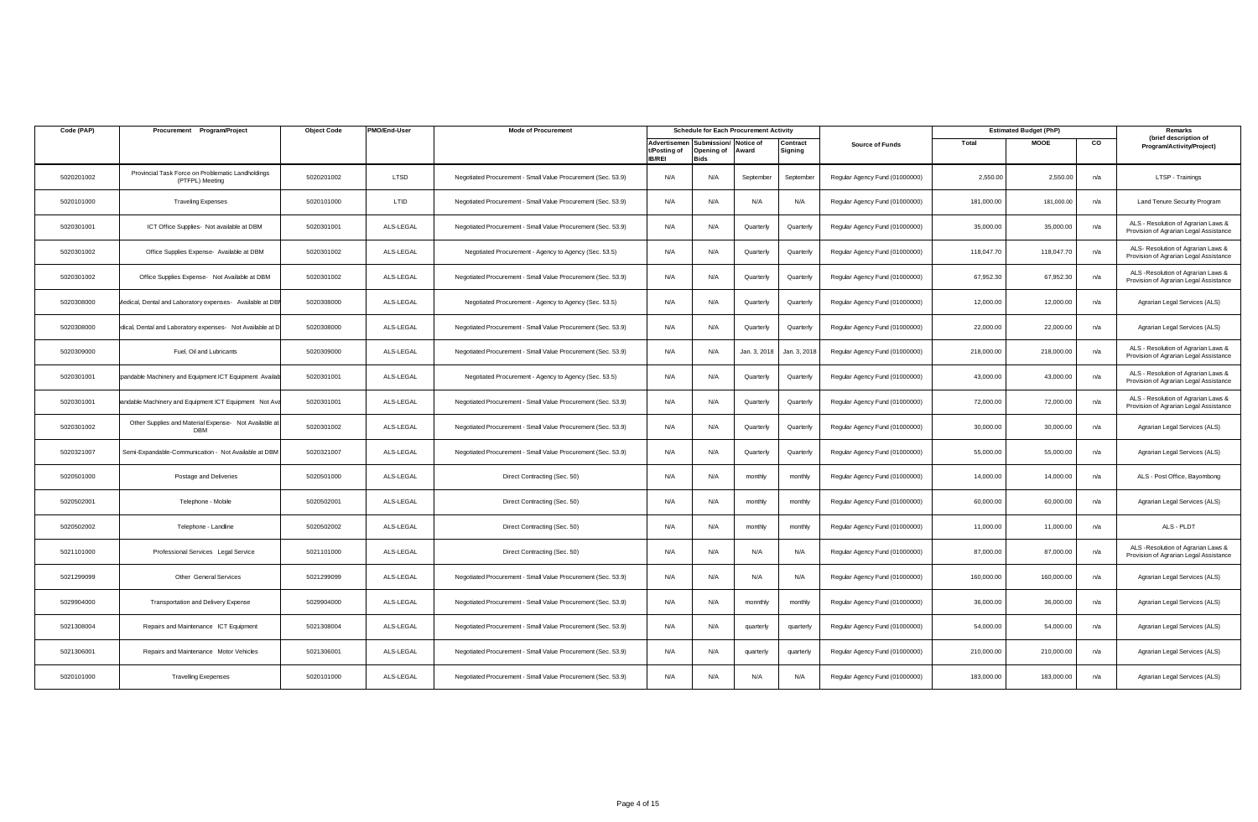| Code (PAP) | Procurement Program/Project                                          | <b>Object Code</b> | PMO/End-User | <b>Mode of Procurement</b>                                   |                                               |                                          | <b>Schedule for Each Procurement Activity</b> |                     |                                |            | <b>Estimated Budget (PhP)</b> |     | Remarks                                                                       |
|------------|----------------------------------------------------------------------|--------------------|--------------|--------------------------------------------------------------|-----------------------------------------------|------------------------------------------|-----------------------------------------------|---------------------|--------------------------------|------------|-------------------------------|-----|-------------------------------------------------------------------------------|
|            |                                                                      |                    |              |                                                              | Advertisemer<br>t/Posting of<br><b>IB/REI</b> | Submission/<br>Opening of<br><b>Bids</b> | Notice of<br>Award                            | Contract<br>Signing | <b>Source of Funds</b>         | Total      | <b>MOOE</b>                   | CO  | (brief description of<br>Program/Activity/Project)                            |
| 5020201002 | Provincial Task Force on Problematic Landholdings<br>(PTFPL) Meeting | 5020201002         | LTSD         | Negotiated Procurement - Small Value Procurement (Sec. 53.9) | N/A                                           | N/A                                      | September                                     | September           | Regular Agency Fund (01000000) | 2,550.00   | 2,550.00                      | n/a | LTSP - Trainings                                                              |
| 5020101000 | <b>Traveling Expenses</b>                                            | 5020101000         | LTID         | Negotiated Procurement - Small Value Procurement (Sec. 53.9) | N/A                                           | N/A                                      | N/A                                           | N/A                 | Regular Agency Fund (01000000) | 181,000.00 | 181,000.00                    | n/a | Land Tenure Security Program                                                  |
| 5020301001 | ICT Office Supplies- Not available at DBM                            | 5020301001         | ALS-LEGAL    | Negotiated Procurement - Small Value Procurement (Sec. 53.9) | N/A                                           | N/A                                      | Quarterly                                     | Quarterly           | Regular Agency Fund (01000000) | 35,000.00  | 35,000.00                     | n/a | ALS - Resolution of Agrarian Laws &<br>Provision of Agrarian Legal Assistance |
| 5020301002 | Office Supplies Expense- Available at DBM                            | 5020301002         | ALS-LEGAL    | Negotiated Procurement - Agency to Agency (Sec. 53.5)        | N/A                                           | N/A                                      | Quarterly                                     | Quarterly           | Regular Agency Fund (01000000) | 118,047.70 | 118,047.70                    | n/a | ALS- Resolution of Agrarian Laws &<br>Provision of Agrarian Legal Assistance  |
| 5020301002 | Office Supplies Expense- Not Available at DBM                        | 5020301002         | ALS-LEGAL    | Negotiated Procurement - Small Value Procurement (Sec. 53.9) | N/A                                           | N/A                                      | Quarterly                                     | Quarterly           | Regular Agency Fund (01000000) | 67,952.30  | 67.952.30                     | n/a | ALS - Resolution of Agrarian Laws &<br>Provision of Agrarian Legal Assistance |
| 5020308000 | Aedical, Dental and Laboratory expenses- Available at DBM            | 5020308000         | ALS-LEGAL    | Negotiated Procurement - Agency to Agency (Sec. 53.5)        | N/A                                           | N/A                                      | Quarterly                                     | Quarterly           | Regular Agency Fund (01000000) | 12,000.00  | 12,000.00                     | n/a | Agrarian Legal Services (ALS)                                                 |
| 5020308000 | dical, Dental and Laboratory expenses- Not Available at D            | 5020308000         | ALS-LEGAL    | Negotiated Procurement - Small Value Procurement (Sec. 53.9) | N/A                                           | N/A                                      | Quarterly                                     | Quarterly           | Regular Agency Fund (01000000) | 22,000.00  | 22,000.00                     | n/a | Agrarian Legal Services (ALS)                                                 |
| 5020309000 | Fuel, Oil and Lubricants                                             | 5020309000         | ALS-LEGAL    | Negotiated Procurement - Small Value Procurement (Sec. 53.9) | N/A                                           | N/A                                      | Jan. 3, 2018                                  | Jan. 3, 201         | Regular Agency Fund (01000000) | 218,000.00 | 218,000.00                    | n/a | ALS - Resolution of Agrarian Laws &<br>Provision of Agrarian Legal Assistance |
| 5020301001 | bandable Machinery and Equipment ICT Equipment Availab               | 5020301001         | ALS-LEGAL    | Negotiated Procurement - Agency to Agency (Sec. 53.5)        | N/A                                           | N/A                                      | Quarterly                                     | Quarterly           | Regular Agency Fund (01000000) | 43,000.00  | 43,000.00                     | n/a | ALS - Resolution of Agrarian Laws &<br>Provision of Agrarian Legal Assistance |
| 5020301001 | andable Machinery and Equipment ICT Equipment Not Ava                | 5020301001         | ALS-LEGAL    | Negotiated Procurement - Small Value Procurement (Sec. 53.9) | N/A                                           | N/A                                      | Quarterly                                     | Quarterly           | Regular Agency Fund (01000000) | 72,000.00  | 72,000.00                     | n/a | ALS - Resolution of Agrarian Laws &<br>Provision of Agrarian Legal Assistance |
| 5020301002 | Other Supplies and Material Expense- Not Available at<br><b>DBM</b>  | 5020301002         | ALS-LEGAL    | Negotiated Procurement - Small Value Procurement (Sec. 53.9) | N/A                                           | N/A                                      | Quarterly                                     | Quarterly           | Regular Agency Fund (01000000) | 30,000.00  | 30,000.00                     | n/a | Agrarian Legal Services (ALS)                                                 |
| 5020321007 | Semi-Expandable-Communication - Not Available at DBM                 | 5020321007         | ALS-LEGAL    | Negotiated Procurement - Small Value Procurement (Sec. 53.9) | N/A                                           | N/A                                      | Quarterly                                     | Quarterly           | Regular Agency Fund (01000000) | 55,000.00  | 55,000.00                     | n/a | Agrarian Legal Services (ALS)                                                 |
| 5020501000 | Postage and Deliveries                                               | 5020501000         | ALS-LEGAL    | Direct Contracting (Sec. 50)                                 | N/A                                           | N/A                                      | monthly                                       | monthly             | Regular Agency Fund (01000000) | 14,000.00  | 14,000.00                     | n/a | ALS - Post Office, Bayombong                                                  |
| 5020502001 | Telephone - Mobile                                                   | 5020502001         | ALS-LEGAL    | Direct Contracting (Sec. 50)                                 | N/A                                           | N/A                                      | monthly                                       | monthly             | Regular Agency Fund (01000000) | 60,000.00  | 60,000.00                     | n/a | Agrarian Legal Services (ALS)                                                 |
| 5020502002 | Telephone - Landline                                                 | 5020502002         | ALS-LEGAL    | Direct Contracting (Sec. 50)                                 | N/A                                           | N/A                                      | monthly                                       | monthly             | Regular Agency Fund (01000000) | 11,000.00  | 11,000.00                     | n/a | ALS - PLDT                                                                    |
| 5021101000 | Professional Services Legal Service                                  | 5021101000         | ALS-LEGAL    | Direct Contracting (Sec. 50)                                 | N/A                                           | N/A                                      | N/A                                           | N/A                 | Regular Agency Fund (01000000) | 87,000.00  | 87,000.00                     | n/a | ALS -Resolution of Agrarian Laws &<br>Provision of Agrarian Legal Assistance  |
| 5021299099 | Other General Services                                               | 5021299099         | ALS-LEGAL    | Negotiated Procurement - Small Value Procurement (Sec. 53.9) | N/A                                           | N/A                                      | N/A                                           | N/A                 | Regular Agency Fund (01000000) | 160,000.00 | 160,000.00                    | n/a | Agrarian Legal Services (ALS)                                                 |
| 5029904000 | Transportation and Delivery Expense                                  | 5029904000         | ALS-LEGAL    | Negotiated Procurement - Small Value Procurement (Sec. 53.9) | N/A                                           | N/A                                      | monnthly                                      | monthly             | Regular Agency Fund (01000000) | 36,000.00  | 36,000.00                     | n/a | Agrarian Legal Services (ALS)                                                 |
| 5021308004 | Repairs and Maintenance ICT Equipment                                | 5021308004         | ALS-LEGAL    | Negotiated Procurement - Small Value Procurement (Sec. 53.9) | N/A                                           | N/A                                      | quarterly                                     | quarterly           | Regular Agency Fund (01000000) | 54,000.00  | 54,000.00                     | n/a | Agrarian Legal Services (ALS)                                                 |
| 5021306001 | Repairs and Maintenance Motor Vehicles                               | 5021306001         | ALS-LEGAL    | Negotiated Procurement - Small Value Procurement (Sec. 53.9) | N/A                                           | N/A                                      | quarterly                                     | quarterly           | Regular Agency Fund (01000000) | 210,000.00 | 210,000.00                    | n/a | Agrarian Legal Services (ALS)                                                 |
| 5020101000 | <b>Travelling Exepenses</b>                                          | 5020101000         | ALS-LEGAL    | Negotiated Procurement - Small Value Procurement (Sec. 53.9) | N/A                                           | N/A                                      | N/A                                           | N/A                 | Regular Agency Fund (01000000) | 183,000.00 | 183,000.00                    | n/a | Agrarian Legal Services (ALS)                                                 |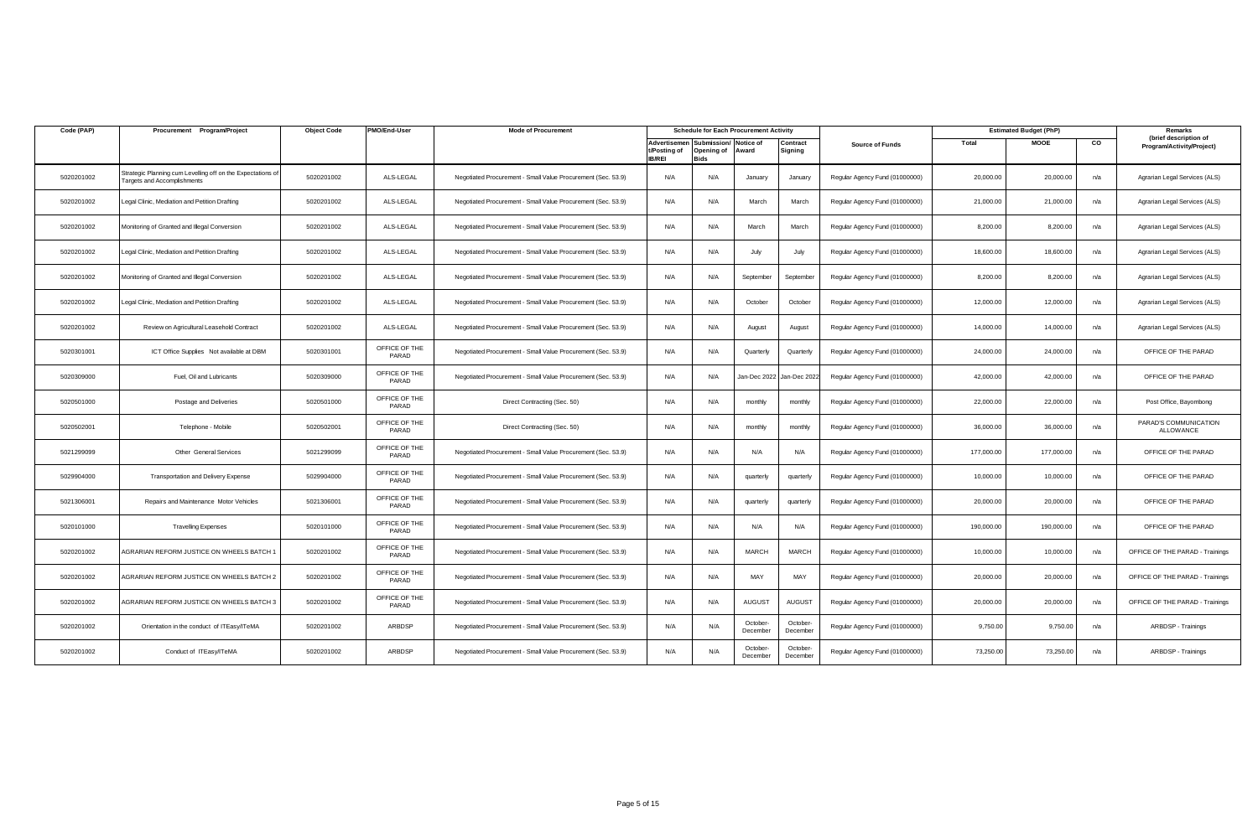| Code (PAP) | Procurement Program/Project                                                                | <b>Object Code</b> | PMO/End-User           | <b>Mode of Procurement</b>                                   |                                               |                                               | <b>Schedule for Each Procurement Activity</b> |                      |                                |            | <b>Estimated Budget (PhP)</b> |     | Remarks                                            |
|------------|--------------------------------------------------------------------------------------------|--------------------|------------------------|--------------------------------------------------------------|-----------------------------------------------|-----------------------------------------------|-----------------------------------------------|----------------------|--------------------------------|------------|-------------------------------|-----|----------------------------------------------------|
|            |                                                                                            |                    |                        |                                                              | Advertisemer<br>t/Posting of<br><b>IB/REI</b> | ubmission/<br>Opening of Award<br><b>Bids</b> | Notice of                                     | Contract<br>Signing  | <b>Source of Funds</b>         | Total      | <b>MOOE</b>                   | CO  | (brief description of<br>Program/Activity/Project) |
| 5020201002 | Strategic Planning cum Levelling off on the Expectations of<br>Targets and Accomplishments | 5020201002         | ALS-LEGAL              | Negotiated Procurement - Small Value Procurement (Sec. 53.9) | N/A                                           | N/A                                           | January                                       | January              | Regular Agency Fund (01000000) | 20,000.00  | 20,000.00                     | n/a | Agrarian Legal Services (ALS)                      |
| 5020201002 | egal Clinic, Mediation and Petition Drafting                                               | 5020201002         | ALS-LEGAL              | Negotiated Procurement - Small Value Procurement (Sec. 53.9) | N/A                                           | N/A                                           | March                                         | March                | Regular Agency Fund (01000000) | 21,000.00  | 21,000.00                     | n/a | Agrarian Legal Services (ALS)                      |
| 5020201002 | Monitoring of Granted and Illegal Conversion                                               | 5020201002         | ALS-LEGAL              | Negotiated Procurement - Small Value Procurement (Sec. 53.9) | N/A                                           | N/A                                           | March                                         | March                | Regular Agency Fund (01000000) | 8,200.00   | 8,200.00                      | n/a | Agrarian Legal Services (ALS)                      |
| 5020201002 | egal Clinic, Mediation and Petition Drafting                                               | 5020201002         | ALS-LEGAL              | Negotiated Procurement - Small Value Procurement (Sec. 53.9) | N/A                                           | N/A                                           | July                                          | July                 | Regular Agency Fund (01000000) | 18,600.00  | 18,600.00                     | n/a | Agrarian Legal Services (ALS)                      |
| 5020201002 | Monitoring of Granted and Illegal Conversion                                               | 5020201002         | ALS-LEGAL              | Negotiated Procurement - Small Value Procurement (Sec. 53.9) | N/A                                           | N/A                                           | September                                     | September            | Regular Agency Fund (01000000) | 8,200.00   | 8,200.00                      | n/a | Agrarian Legal Services (ALS)                      |
| 5020201002 | egal Clinic, Mediation and Petition Drafting                                               | 5020201002         | ALS-LEGAL              | Negotiated Procurement - Small Value Procurement (Sec. 53.9) | N/A                                           | N/A                                           | October                                       | October              | Regular Agency Fund (01000000) | 12,000.00  | 12,000.00                     | n/a | Agrarian Legal Services (ALS)                      |
| 5020201002 | Review on Agricultural Leasehold Contract                                                  | 5020201002         | ALS-LEGAL              | Negotiated Procurement - Small Value Procurement (Sec. 53.9) | N/A                                           | N/A                                           | August                                        | August               | Regular Agency Fund (01000000) | 14,000.00  | 14,000.00                     | n/a | Agrarian Legal Services (ALS)                      |
| 5020301001 | ICT Office Supplies Not available at DBM                                                   | 5020301001         | OFFICE OF THE<br>PARAD | Negotiated Procurement - Small Value Procurement (Sec. 53.9) | N/A                                           | N/A                                           | Quarterly                                     | Quarterly            | Regular Agency Fund (01000000) | 24,000.00  | 24,000.00                     | n/a | OFFICE OF THE PARAD                                |
| 5020309000 | Fuel, Oil and Lubricants                                                                   | 5020309000         | OFFICE OF THE<br>PARAD | Negotiated Procurement - Small Value Procurement (Sec. 53.9) | N/A                                           | N/A                                           | Jan-Dec 2022                                  | Jan-Dec 2022         | Regular Agency Fund (01000000) | 42,000.00  | 42,000.00                     | n/a | OFFICE OF THE PARAD                                |
| 5020501000 | Postage and Deliveries                                                                     | 5020501000         | OFFICE OF THE<br>PARAD | Direct Contracting (Sec. 50)                                 | N/A                                           | N/A                                           | monthly                                       | monthly              | Regular Agency Fund (01000000) | 22,000.00  | 22,000.00                     | n/a | Post Office, Bayombong                             |
| 5020502001 | Telephone - Mobile                                                                         | 5020502001         | OFFICE OF THE<br>PARAD | Direct Contracting (Sec. 50)                                 | N/A                                           | N/A                                           | monthly                                       | monthly              | Regular Agency Fund (01000000) | 36,000.00  | 36,000,00                     | n/a | PARAD'S COMMUNICATION<br>ALLOWANCE                 |
| 5021299099 | Other General Services                                                                     | 5021299099         | OFFICE OF THE<br>PARAD | Negotiated Procurement - Small Value Procurement (Sec. 53.9) | N/A                                           | N/A                                           | N/A                                           | N/A                  | Regular Agency Fund (01000000) | 177,000.00 | 177,000.00                    | n/a | OFFICE OF THE PARAD                                |
| 5029904000 | Transportation and Delivery Expense                                                        | 5029904000         | OFFICE OF THE<br>PARAD | Negotiated Procurement - Small Value Procurement (Sec. 53.9) | N/A                                           | N/A                                           | quarterly                                     | quarterly            | Regular Agency Fund (01000000) | 10,000.00  | 10,000.00                     | n/a | OFFICE OF THE PARAD                                |
| 5021306001 | Repairs and Maintenance Motor Vehicles                                                     | 5021306001         | OFFICE OF THE<br>PARAD | Negotiated Procurement - Small Value Procurement (Sec. 53.9) | N/A                                           | N/A                                           | quarterly                                     | quarterly            | Regular Agency Fund (01000000) | 20,000,00  | 20,000,00                     | n/a | OFFICE OF THE PARAD                                |
| 5020101000 | <b>Travelling Expenses</b>                                                                 | 5020101000         | OFFICE OF THE<br>PARAD | Negotiated Procurement - Small Value Procurement (Sec. 53.9) | N/A                                           | N/A                                           | N/A                                           | N/A                  | Regular Agency Fund (01000000) | 190,000.00 | 190,000.00                    | n/a | OFFICE OF THE PARAD                                |
| 5020201002 | AGRARIAN REFORM JUSTICE ON WHEELS BATCH *                                                  | 5020201002         | OFFICE OF THE<br>PARAD | Negotiated Procurement - Small Value Procurement (Sec. 53.9) | N/A                                           | N/A                                           | <b>MARCH</b>                                  | <b>MARCH</b>         | Regular Agency Fund (01000000) | 10,000.00  | 10,000.00                     | n/a | OFFICE OF THE PARAD - Trainings                    |
| 5020201002 | AGRARIAN REFORM JUSTICE ON WHEELS BATCH 2                                                  | 5020201002         | OFFICE OF THE<br>PARAD | Negotiated Procurement - Small Value Procurement (Sec. 53.9) | N/A                                           | N/A                                           | MAY                                           | MAY                  | Regular Agency Fund (01000000) | 20,000.00  | 20,000.00                     | n/a | OFFICE OF THE PARAD - Trainings                    |
| 5020201002 | AGRARIAN REFORM JUSTICE ON WHEELS BATCH 3                                                  | 5020201002         | OFFICE OF THE<br>PARAD | Negotiated Procurement - Small Value Procurement (Sec. 53.9) | N/A                                           | N/A                                           | AUGUST                                        | <b>AUGUST</b>        | Regular Agency Fund (01000000) | 20,000.00  | 20,000.00                     | n/a | OFFICE OF THE PARAD - Trainings                    |
| 5020201002 | Orientation in the conduct of ITEasy/ITeMA                                                 | 5020201002         | ARBDSP                 | Negotiated Procurement - Small Value Procurement (Sec. 53.9) | N/A                                           | N/A                                           | October-<br>December                          | October-<br>December | Regular Agency Fund (01000000) | 9,750.00   | 9,750.00                      | n/a | ARBDSP - Trainings                                 |
| 5020201002 | Conduct of ITEasy/ITeMA                                                                    | 5020201002         | ARBDSP                 | Negotiated Procurement - Small Value Procurement (Sec. 53.9) | N/A                                           | N/A                                           | October-<br>December                          | October-<br>December | Regular Agency Fund (01000000) | 73,250.00  | 73,250.00                     | n/a | ARBDSP - Trainings                                 |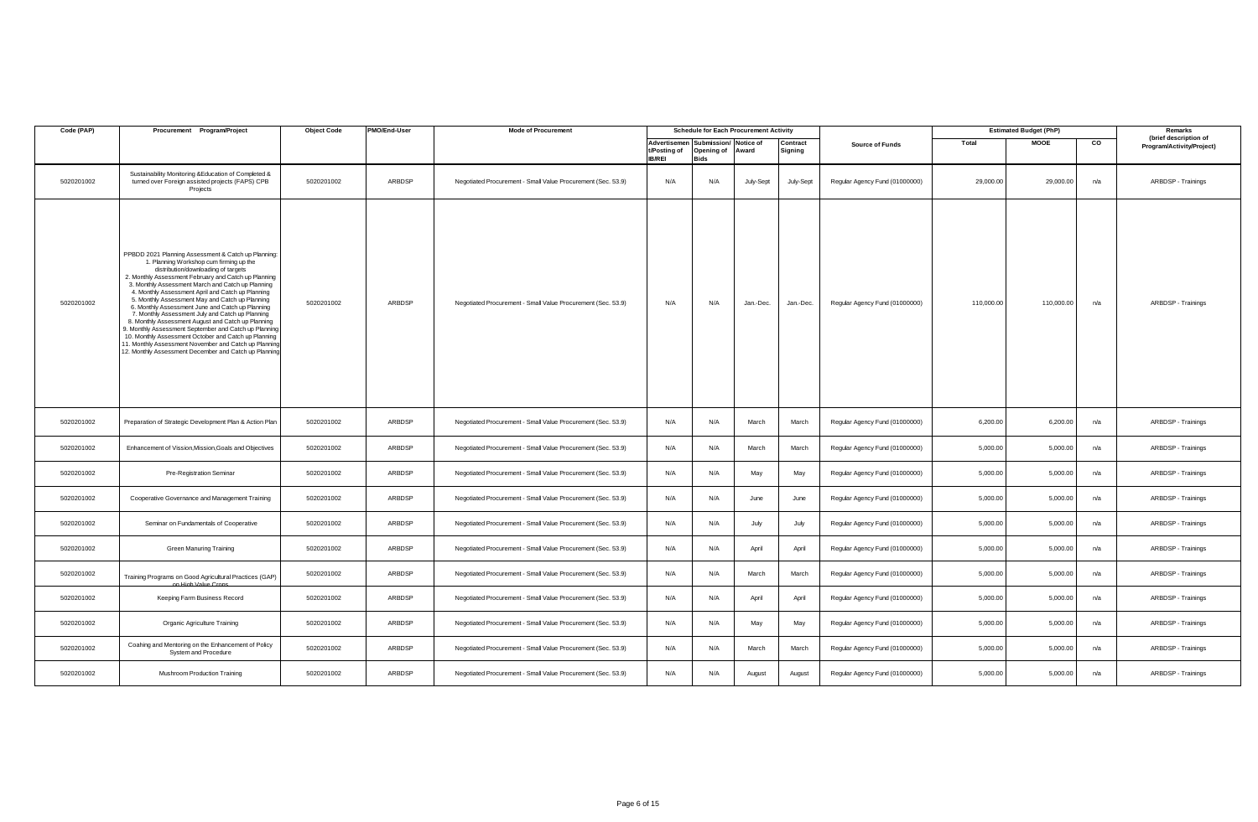| Code (PAP) | Procurement Program/Project                                                                                                                                                                                                                                                                                                                                                                                                                                                                                                                                                                                                                                                                                                                                 | <b>Object Code</b> | PMO/End-User | <b>Mode of Procurement</b>                                   |                               |                                                                       | <b>Schedule for Each Procurement Activity</b> |                     |                                |            | <b>Estimated Budget (PhP)</b> |     | Remarks                                            |
|------------|-------------------------------------------------------------------------------------------------------------------------------------------------------------------------------------------------------------------------------------------------------------------------------------------------------------------------------------------------------------------------------------------------------------------------------------------------------------------------------------------------------------------------------------------------------------------------------------------------------------------------------------------------------------------------------------------------------------------------------------------------------------|--------------------|--------------|--------------------------------------------------------------|-------------------------------|-----------------------------------------------------------------------|-----------------------------------------------|---------------------|--------------------------------|------------|-------------------------------|-----|----------------------------------------------------|
|            |                                                                                                                                                                                                                                                                                                                                                                                                                                                                                                                                                                                                                                                                                                                                                             |                    |              |                                                              | t/Posting of<br><b>IB/REI</b> | Advertisemen Submission/ Notice of<br>Opening of Award<br><b>Bids</b> |                                               | Contract<br>Signing | <b>Source of Funds</b>         | Total      | <b>MOOE</b>                   | CO  | (brief description of<br>Program/Activity/Project) |
| 5020201002 | Sustainability Monitoring &Education of Completed &<br>turned over Foreign assisted projects (FAPS) CPB<br>Projects                                                                                                                                                                                                                                                                                                                                                                                                                                                                                                                                                                                                                                         | 5020201002         | ARBDSP       | Negotiated Procurement - Small Value Procurement (Sec. 53.9) | N/A                           | N/A                                                                   | July-Sept                                     | July-Sept           | Regular Agency Fund (01000000) | 29,000.00  | 29,000.00                     | n/a | ARBDSP - Trainings                                 |
| 5020201002 | PPBDD 2021 Planning Assessment & Catch up Planning:<br>1. Planning Workshop cum firming up the<br>distribution/downloading of targets<br>2. Monthly Assessment February and Catch up Planning<br>3. Monthly Assessment March and Catch up Planning<br>4. Monthly Assessment April and Catch up Planning<br>5. Monthly Assessment May and Catch up Planning<br>6. Monthly Assessment June and Catch up Planning<br>7. Monthly Assessment July and Catch up Planning<br>8. Monthly Assessment August and Catch up Planning<br>3. Monthly Assessment September and Catch up Planning<br>10. Monthly Assessment October and Catch up Planning<br>11. Monthly Assessment November and Catch up Planning<br>12. Monthly Assessment December and Catch up Planning | 5020201002         | ARBDSP       | Negotiated Procurement - Small Value Procurement (Sec. 53.9) | N/A                           | N/A                                                                   | Jan.-Dec.                                     | Jan.-Dec.           | Regular Agency Fund (01000000) | 110,000.00 | 110,000.00                    | n/a | ARBDSP - Trainings                                 |
| 5020201002 | Preparation of Strategic Development Plan & Action Plan                                                                                                                                                                                                                                                                                                                                                                                                                                                                                                                                                                                                                                                                                                     | 5020201002         | ARBDSP       | Negotiated Procurement - Small Value Procurement (Sec. 53.9) | N/A                           | N/A                                                                   | March                                         | March               | Regular Agency Fund (01000000) | 6,200.00   | 6,200.00                      | n/a | ARBDSP - Trainings                                 |
| 5020201002 | Enhancement of Vission, Mission, Goals and Objectives                                                                                                                                                                                                                                                                                                                                                                                                                                                                                                                                                                                                                                                                                                       | 5020201002         | ARBDSP       | Negotiated Procurement - Small Value Procurement (Sec. 53.9) | N/A                           | N/A                                                                   | March                                         | March               | Regular Agency Fund (01000000) | 5,000.00   | 5,000.00                      | n/a | ARBDSP - Trainings                                 |
| 5020201002 | Pre-Registration Seminar                                                                                                                                                                                                                                                                                                                                                                                                                                                                                                                                                                                                                                                                                                                                    | 5020201002         | ARBDSP       | Negotiated Procurement - Small Value Procurement (Sec. 53.9) | N/A                           | N/A                                                                   | May                                           | May                 | Regular Agency Fund (01000000) | 5,000.00   | 5,000.00                      | n/a | ARBDSP - Trainings                                 |
| 5020201002 | Cooperative Governance and Management Training                                                                                                                                                                                                                                                                                                                                                                                                                                                                                                                                                                                                                                                                                                              | 5020201002         | ARBDSP       | Negotiated Procurement - Small Value Procurement (Sec. 53.9) | N/A                           | N/A                                                                   | June                                          | June                | Regular Agency Fund (01000000) | 5,000.00   | 5,000.00                      | n/a | ARBDSP - Trainings                                 |
| 5020201002 | Seminar on Fundamentals of Cooperative                                                                                                                                                                                                                                                                                                                                                                                                                                                                                                                                                                                                                                                                                                                      | 5020201002         | ARBDSP       | Negotiated Procurement - Small Value Procurement (Sec. 53.9) | N/A                           | N/A                                                                   | July                                          | July                | Regular Agency Fund (01000000) | 5,000.00   | 5,000.00                      | n/a | ARBDSP - Trainings                                 |
| 5020201002 | <b>Green Manuring Training</b>                                                                                                                                                                                                                                                                                                                                                                                                                                                                                                                                                                                                                                                                                                                              | 5020201002         | ARBDSP       | Negotiated Procurement - Small Value Procurement (Sec. 53.9) | N/A                           | N/A                                                                   | April                                         | April               | Regular Agency Fund (01000000) | 5,000.00   | 5,000.00                      | n/a | ARBDSP - Trainings                                 |
| 5020201002 | Training Programs on Good Agricultural Practices (GAP)                                                                                                                                                                                                                                                                                                                                                                                                                                                                                                                                                                                                                                                                                                      | 5020201002         | ARBDSP       | Negotiated Procurement - Small Value Procurement (Sec. 53.9) | N/A                           | N/A                                                                   | March                                         | March               | Regular Agency Fund (01000000) | 5,000.00   | 5,000.00                      | n/a | ARBDSP - Trainings                                 |
| 5020201002 | Keeping Farm Business Record                                                                                                                                                                                                                                                                                                                                                                                                                                                                                                                                                                                                                                                                                                                                | 5020201002         | ARBDSP       | Negotiated Procurement - Small Value Procurement (Sec. 53.9) | N/A                           | N/A                                                                   | April                                         | April               | Regular Agency Fund (01000000) | 5,000.00   | 5,000.00                      | n/a | ARBDSP - Trainings                                 |
| 5020201002 | Organic Agriculture Training                                                                                                                                                                                                                                                                                                                                                                                                                                                                                                                                                                                                                                                                                                                                | 5020201002         | ARBDSP       | Negotiated Procurement - Small Value Procurement (Sec. 53.9) | N/A                           | N/A                                                                   | May                                           | May                 | Regular Agency Fund (01000000) | 5,000.00   | 5,000.00                      | n/a | ARBDSP - Trainings                                 |
| 5020201002 | Coahing and Mentoring on the Enhancement of Policy<br>System and Procedure                                                                                                                                                                                                                                                                                                                                                                                                                                                                                                                                                                                                                                                                                  | 5020201002         | ARBDSP       | Negotiated Procurement - Small Value Procurement (Sec. 53.9) | N/A                           | N/A                                                                   | March                                         | March               | Regular Agency Fund (01000000) | 5,000.00   | 5,000.00                      | n/a | ARBDSP - Trainings                                 |
| 5020201002 | Mushroom Production Training                                                                                                                                                                                                                                                                                                                                                                                                                                                                                                                                                                                                                                                                                                                                | 5020201002         | ARBDSP       | Negotiated Procurement - Small Value Procurement (Sec. 53.9) | N/A                           | N/A                                                                   | August                                        | August              | Regular Agency Fund (01000000) | 5,000.00   | 5,000.00                      | n/a | ARBDSP - Trainings                                 |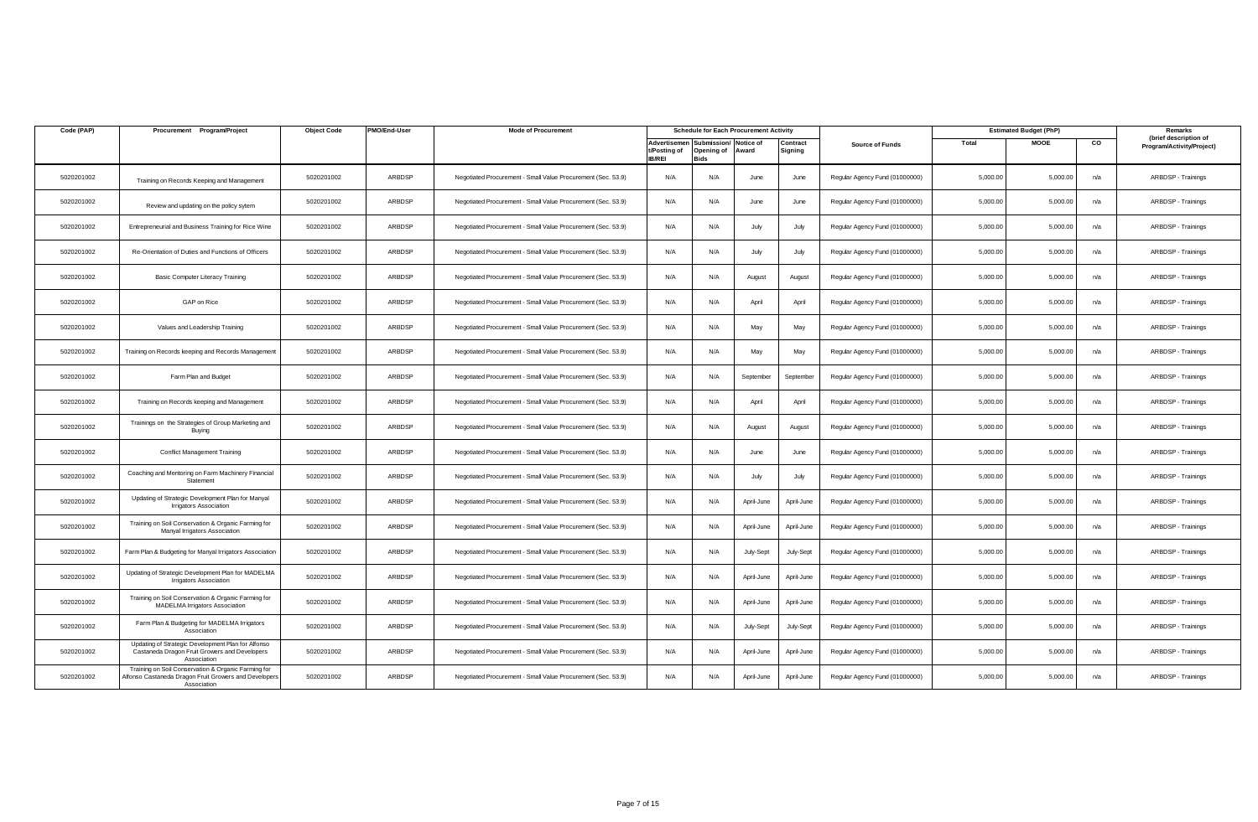| Code (PAP) | Procurement Program/Project                                                                                                 | <b>Object Code</b> | PMO/End-User | <b>Mode of Procurement</b>                                   |                                               |                                   | <b>Schedule for Each Procurement Activity</b> |                           |                                |          | <b>Estimated Budget (PhP)</b> |     | Remarks                                            |
|------------|-----------------------------------------------------------------------------------------------------------------------------|--------------------|--------------|--------------------------------------------------------------|-----------------------------------------------|-----------------------------------|-----------------------------------------------|---------------------------|--------------------------------|----------|-------------------------------|-----|----------------------------------------------------|
|            |                                                                                                                             |                    |              |                                                              | Advertisemen<br>t/Posting of<br><b>IB/REI</b> | Submission/<br>Opening of<br>Bids | Notice of<br>Award                            | <b>Contract</b><br>igning | <b>Source of Funds</b>         | Total    | <b>MOOE</b>                   | CO  | (brief description of<br>Program/Activity/Project) |
| 5020201002 | Training on Records Keeping and Management                                                                                  | 5020201002         | ARBDSP       | Negotiated Procurement - Small Value Procurement (Sec. 53.9) | N/A                                           | N/A                               | June                                          | June                      | Regular Agency Fund (01000000) | 5,000.00 | 5,000.00                      | n/a | ARBDSP - Trainings                                 |
| 5020201002 | Review and updating on the policy sytem                                                                                     | 5020201002         | ARBDSP       | Negotiated Procurement - Small Value Procurement (Sec. 53.9) | N/A                                           | N/A                               | June                                          | June                      | Regular Agency Fund (01000000) | 5,000.00 | 5,000.00                      | n/a | ARBDSP - Trainings                                 |
| 5020201002 | Entrepreneurial and Business Training for Rice Wine                                                                         | 5020201002         | ARBDSP       | Negotiated Procurement - Small Value Procurement (Sec. 53.9) | N/A                                           | N/A                               | July                                          | July                      | Regular Agency Fund (01000000) | 5,000.00 | 5,000.00                      | n/a | ARBDSP - Trainings                                 |
| 5020201002 | Re-Orientation of Duties and Functions of Officers                                                                          | 5020201002         | ARBDSP       | Negotiated Procurement - Small Value Procurement (Sec. 53.9) | N/A                                           | N/A                               | July                                          | July                      | Regular Agency Fund (01000000) | 5,000.00 | 5,000.00                      | n/a | ARBDSP - Trainings                                 |
| 5020201002 | <b>Basic Computer Literacy Training</b>                                                                                     | 5020201002         | ARBDSP       | Negotiated Procurement - Small Value Procurement (Sec. 53.9) | N/A                                           | N/A                               | August                                        | August                    | Regular Agency Fund (01000000) | 5,000.00 | 5,000.00                      | n/a | ARBDSP - Trainings                                 |
| 5020201002 | GAP on Rice                                                                                                                 | 5020201002         | ARBDSP       | Negotiated Procurement - Small Value Procurement (Sec. 53.9) | N/A                                           | N/A                               | April                                         | April                     | Regular Agency Fund (01000000) | 5,000.00 | 5,000.00                      | n/a | ARBDSP - Trainings                                 |
| 5020201002 | Values and Leadership Training                                                                                              | 5020201002         | ARBDSP       | Negotiated Procurement - Small Value Procurement (Sec. 53.9) | N/A                                           | N/A                               | May                                           | May                       | Regular Agency Fund (01000000) | 5,000.00 | 5,000.00                      | n/a | ARBDSP - Trainings                                 |
| 5020201002 | Training on Records keeping and Records Management                                                                          | 5020201002         | ARBDSP       | Negotiated Procurement - Small Value Procurement (Sec. 53.9) | N/A                                           | N/A                               | May                                           | May                       | Regular Agency Fund (01000000) | 5,000.00 | 5,000.00                      | n/a | ARBDSP - Trainings                                 |
| 5020201002 | Farm Plan and Budget                                                                                                        | 5020201002         | ARBDSP       | Negotiated Procurement - Small Value Procurement (Sec. 53.9) | N/A                                           | N/A                               | September                                     | September                 | Regular Agency Fund (01000000) | 5,000.0  | 5,000.00                      | n/a | ARBDSP - Trainings                                 |
| 5020201002 | Training on Records keeping and Management                                                                                  | 5020201002         | ARBDSP       | Negotiated Procurement - Small Value Procurement (Sec. 53.9) | N/A                                           | N/A                               | April                                         | April                     | Regular Agency Fund (01000000) | 5,000.00 | 5,000.00                      | n/a | ARBDSP - Trainings                                 |
| 5020201002 | Trainings on the Strategies of Group Marketing and<br>Buying                                                                | 5020201002         | ARBDSP       | Negotiated Procurement - Small Value Procurement (Sec. 53.9) | N/A                                           | N/A                               | August                                        | August                    | Regular Agency Fund (01000000) | 5,000.00 | 5,000.00                      | n/a | ARBDSP - Trainings                                 |
| 5020201002 | <b>Conflict Management Training</b>                                                                                         | 5020201002         | ARBDSP       | Negotiated Procurement - Small Value Procurement (Sec. 53.9) | N/A                                           | N/A                               | June                                          | June                      | Regular Agency Fund (01000000) | 5,000.00 | 5,000.00                      | n/a | ARBDSP - Trainings                                 |
| 5020201002 | Coaching and Mentoring on Farm Machinery Financial<br>Statement                                                             | 5020201002         | ARBDSP       | Negotiated Procurement - Small Value Procurement (Sec. 53.9) | N/A                                           | N/A                               | July                                          | July                      | Regular Agency Fund (01000000) | 5,000.00 | 5,000.00                      | n/a | ARBDSP - Trainings                                 |
| 5020201002 | Updating of Strategic Development Plan for Manyal<br><b>Irrigators Association</b>                                          | 5020201002         | ARBDSP       | Negotiated Procurement - Small Value Procurement (Sec. 53.9) | N/A                                           | N/A                               | April-June                                    | April-June                | Regular Agency Fund (01000000) | 5,000.00 | 5,000.00                      | n/a | ARBDSP - Trainings                                 |
| 5020201002 | Training on Soil Conservation & Organic Farming for<br>Manyal Irrigators Association                                        | 5020201002         | ARBDSP       | Negotiated Procurement - Small Value Procurement (Sec. 53.9) | N/A                                           | N/A                               | April-June                                    | April-June                | Regular Agency Fund (01000000) | 5,000.00 | 5,000.00                      | n/a | ARBDSP - Trainings                                 |
| 5020201002 | Farm Plan & Budgeting for Manyal Irrigators Association                                                                     | 5020201002         | ARBDSP       | Negotiated Procurement - Small Value Procurement (Sec. 53.9) | N/A                                           | N/A                               | July-Sept                                     | July-Sept                 | Regular Agency Fund (01000000) | 5,000.00 | 5,000.00                      | n/a | ARBDSP - Trainings                                 |
| 5020201002 | Updating of Strategic Development Plan for MADELMA<br><b>Irrigators Association</b>                                         | 5020201002         | ARBDSP       | Negotiated Procurement - Small Value Procurement (Sec. 53.9) | N/A                                           | N/A                               | April-June                                    | April-June                | Regular Agency Fund (01000000) | 5,000.00 | 5,000.00                      | n/a | ARBDSP - Trainings                                 |
| 5020201002 | Training on Soil Conservation & Organic Farming for<br><b>MADELMA Irrigators Association</b>                                | 5020201002         | ARBDSP       | Negotiated Procurement - Small Value Procurement (Sec. 53.9) | N/A                                           | N/A                               | April-June                                    | April-June                | Regular Agency Fund (01000000) | 5,000.00 | 5,000.00                      | n/a | ARBDSP - Trainings                                 |
| 5020201002 | Farm Plan & Budgeting for MADELMA Irrigators<br>Association                                                                 | 5020201002         | ARBDSP       | Negotiated Procurement - Small Value Procurement (Sec. 53.9) | N/A                                           | N/A                               | July-Sept                                     | July-Sept                 | Regular Agency Fund (01000000) | 5,000.00 | 5,000.00                      | n/a | ARBDSP - Trainings                                 |
| 5020201002 | Updating of Strategic Development Plan for Alfonso<br>Castaneda Dragon Fruit Growers and Developers<br>Association          | 5020201002         | ARBDSP       | Negotiated Procurement - Small Value Procurement (Sec. 53.9) | N/A                                           | N/A                               | April-June                                    | April-June                | Regular Agency Fund (01000000) | 5,000.00 | 5,000.00                      | n/a | ARBDSP - Trainings                                 |
| 5020201002 | Training on Soil Conservation & Organic Farming for<br>Alfonso Castaneda Dragon Fruit Growers and Developers<br>Association | 5020201002         | ARBDSP       | Negotiated Procurement - Small Value Procurement (Sec. 53.9) | N/A                                           | N/A                               | April-June                                    | April-June                | Regular Agency Fund (01000000) | 5,000.00 | 5,000.00                      | n/a | ARBDSP - Trainings                                 |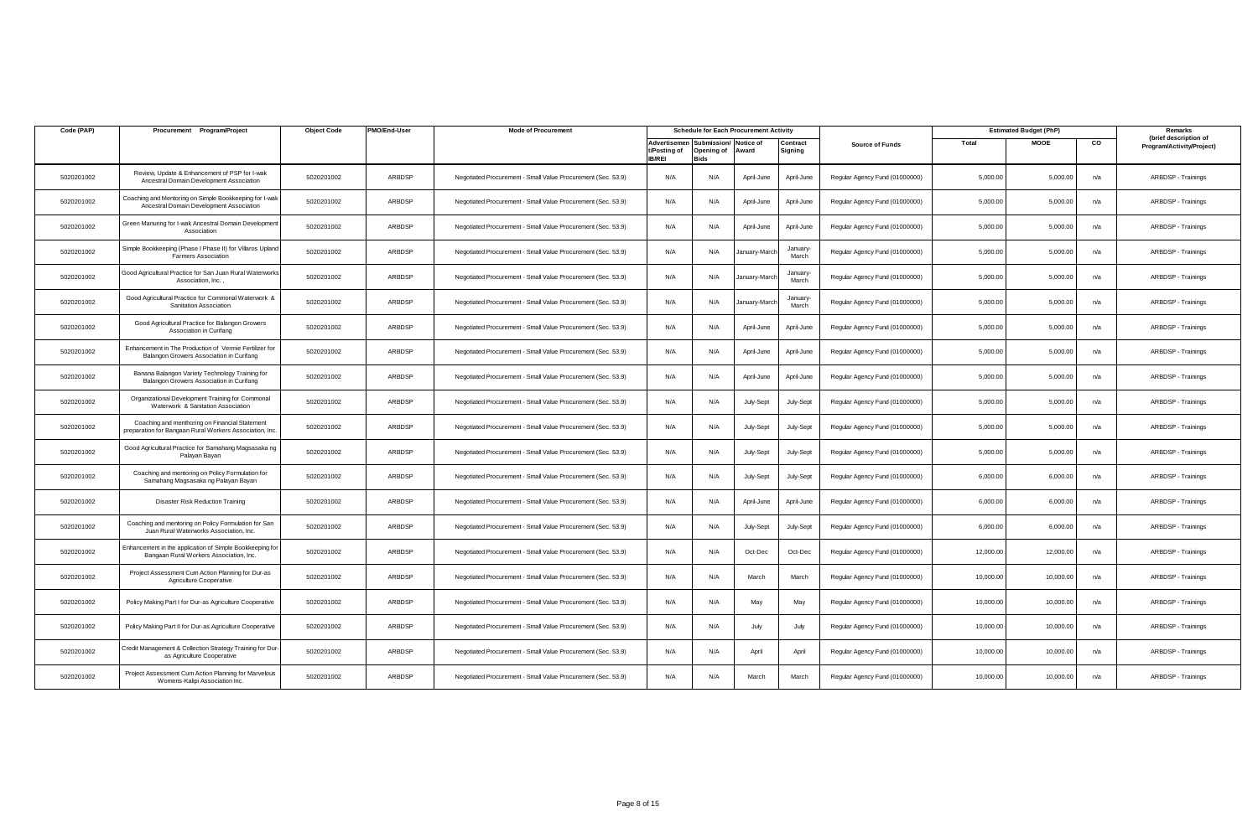| Code (PAP) | Procurement Program/Project                                                                               | <b>Object Code</b> | PMO/End-User | <b>Mode of Procurement</b>                                   |                                               |                                             | <b>Schedule for Each Procurement Activity</b> |                     |                                |           | <b>Estimated Budget (PhP)</b> |     | Remarks                                            |
|------------|-----------------------------------------------------------------------------------------------------------|--------------------|--------------|--------------------------------------------------------------|-----------------------------------------------|---------------------------------------------|-----------------------------------------------|---------------------|--------------------------------|-----------|-------------------------------|-----|----------------------------------------------------|
|            |                                                                                                           |                    |              |                                                              | Advertisemen<br>t/Posting of<br><b>IB/REI</b> | Submission/ Notice of<br>Opening of<br>Rids | Award                                         | Contract<br>Signing | <b>Source of Funds</b>         | Total     | <b>MOOE</b>                   | CO  | (brief description of<br>Program/Activity/Project) |
| 5020201002 | Review, Update & Enhancement of PSP for I-wak<br>Ancestral Domain Development Association                 | 5020201002         | ARBDSP       | Negotiated Procurement - Small Value Procurement (Sec. 53.9) | N/A                                           | N/A                                         | April-June                                    | April-June          | Regular Agency Fund (01000000) | 5,000.00  | 5.000.00                      | n/a | ARBDSP - Trainings                                 |
| 5020201002 | Coaching and Mentoring on Simple Bookkeeping for I-wak<br>Ancestral Domain Development Association        | 5020201002         | ARBDSP       | Negotiated Procurement - Small Value Procurement (Sec. 53.9) | N/A                                           | N/A                                         | April-June                                    | April-June          | Regular Agency Fund (01000000) | 5,000.00  | 5.000.00                      | n/a | ARBDSP - Trainings                                 |
| 5020201002 | <b>Green Manuring for I-wak Ancestral Domain Development</b><br>Association                               | 5020201002         | ARBDSP       | Negotiated Procurement - Small Value Procurement (Sec. 53.9) | N/A                                           | N/A                                         | April-June                                    | April-June          | Regular Agency Fund (01000000) | 5,000.00  | 5,000.00                      | n/a | ARBDSP - Trainings                                 |
| 5020201002 | Simple Bookkeeping (Phase I Phase II) for Villaros Upland<br><b>Farmers Association</b>                   | 5020201002         | ARBDSP       | Negotiated Procurement - Small Value Procurement (Sec. 53.9) | N/A                                           | N/A                                         | January-Marcl                                 | January-<br>March   | Regular Agency Fund (01000000) | 5,000.00  | 5,000.00                      | n/a | ARBDSP - Trainings                                 |
| 5020201002 | Good Agricultural Practice for San Juan Rural Waterworks<br>Association, Inc.,                            | 5020201002         | ARBDSP       | Negotiated Procurement - Small Value Procurement (Sec. 53.9) | N/A                                           | N/A                                         | January-Marcl                                 | January-<br>March   | Regular Agency Fund (01000000) | 5,000.00  | 5,000.00                      | n/a | ARBDSP - Trainings                                 |
| 5020201002 | Good Agricultural Practice for Commonal Waterwork &<br>Sanitation Association                             | 5020201002         | ARBDSP       | Negotiated Procurement - Small Value Procurement (Sec. 53.9) | N/A                                           | N/A                                         | January-Marcl                                 | January-<br>March   | Regular Agency Fund (01000000) | 5,000.00  | 5,000.00                      | n/a | ARBDSP - Trainings                                 |
| 5020201002 | Good Agricultural Practice for Balangon Growers<br>Association in Curifang                                | 5020201002         | ARBDSP       | Negotiated Procurement - Small Value Procurement (Sec. 53.9) | N/A                                           | N/A                                         | April-June                                    | April-June          | Regular Agency Fund (01000000) | 5,000.00  | 5,000.00                      | n/a | ARBDSP - Trainings                                 |
| 5020201002 | Enhancement in The Production of Vermie Fertilizer for<br>Balangon Growers Association in Curifang        | 5020201002         | ARBDSP       | Negotiated Procurement - Small Value Procurement (Sec. 53.9) | N/A                                           | N/A                                         | April-June                                    | April-June          | Regular Agency Fund (01000000) | 5,000.00  | 5,000.00                      | n/a | ARBDSP - Trainings                                 |
| 5020201002 | Banana Balangon Variety Technology Training for<br>Balangon Growers Association in Curifang               | 5020201002         | ARBDSP       | Negotiated Procurement - Small Value Procurement (Sec. 53.9) | N/A                                           | N/A                                         | April-June                                    | April-June          | Regular Agency Fund (01000000) | 5,000.00  | 5,000.00                      | n/a | ARBDSP - Trainings                                 |
| 5020201002 | Organizational Development Training for Commonal<br>Waterwork & Sanitation Association                    | 5020201002         | ARBDSP       | Negotiated Procurement - Small Value Procurement (Sec. 53.9) | N/A                                           | N/A                                         | July-Sept                                     | July-Sept           | Regular Agency Fund (01000000) | 5,000.00  | 5,000.00                      | n/a | ARBDSP - Trainings                                 |
| 5020201002 | Coaching and menthoring on Financial Statement<br>preparation for Bangaan Rural Workers Association, Inc. | 5020201002         | ARBDSP       | Negotiated Procurement - Small Value Procurement (Sec. 53.9) | N/A                                           | N/A                                         | July-Sept                                     | July-Sept           | Regular Agency Fund (01000000) | 5,000.00  | 5,000.00                      | n/a | ARBDSP - Trainings                                 |
| 5020201002 | Good Agricultural Practice for Samahang Magsasaka ng<br>Palayan Bayan                                     | 5020201002         | ARBDSP       | Negotiated Procurement - Small Value Procurement (Sec. 53.9) | N/A                                           | N/A                                         | July-Sept                                     | July-Sept           | Regular Agency Fund (01000000) | 5,000.00  | 5,000.00                      | n/a | ARBDSP - Trainings                                 |
| 5020201002 | Coaching and mentoring on Policy Formulation for<br>Samahang Magsasaka ng Palayan Bayan                   | 5020201002         | ARBDSP       | Negotiated Procurement - Small Value Procurement (Sec. 53.9) | N/A                                           | N/A                                         | July-Sept                                     | July-Sept           | Regular Agency Fund (01000000) | 6,000.00  | 6,000.00                      | n/a | ARBDSP - Trainings                                 |
| 5020201002 | <b>Disaster Risk Reduction Training</b>                                                                   | 5020201002         | ARBDSP       | Negotiated Procurement - Small Value Procurement (Sec. 53.9) | N/A                                           | N/A                                         | April-June                                    | April-June          | Regular Agency Fund (01000000) | 6,000.00  | 6,000.00                      | n/a | ARBDSP - Trainings                                 |
| 5020201002 | Coaching and mentoring on Policy Formulation for San<br>Juan Rural Waterworks Association, Inc.           | 5020201002         | ARBDSP       | Negotiated Procurement - Small Value Procurement (Sec. 53.9) | N/A                                           | N/A                                         | July-Sept                                     | July-Sept           | Regular Agency Fund (01000000) | 6,000.00  | 6,000.00                      | n/a | ARBDSP - Trainings                                 |
| 5020201002 | Enhancement in the application of Simple Bookkeeping for<br>Bangaan Rural Workers Association, Inc.       | 5020201002         | ARBDSP       | Negotiated Procurement - Small Value Procurement (Sec. 53.9) | N/A                                           | N/A                                         | Oct-Dec                                       | Oct-Dec             | Regular Agency Fund (01000000) | 12,000.00 | 12,000.00                     | n/a | ARBDSP - Trainings                                 |
| 5020201002 | Project Assessment Cum Action Planning for Dur-as<br>Agriculture Cooperative                              | 5020201002         | ARBDSP       | Negotiated Procurement - Small Value Procurement (Sec. 53.9) | N/A                                           | N/A                                         | March                                         | March               | Regular Agency Fund (01000000) | 10,000.00 | 10,000.00                     | n/a | ARBDSP - Trainings                                 |
| 5020201002 | Policy Making Part I for Dur-as Agriculture Cooperative                                                   | 5020201002         | ARBDSP       | Negotiated Procurement - Small Value Procurement (Sec. 53.9) | N/A                                           | N/A                                         | May                                           | May                 | Regular Agency Fund (01000000) | 10,000.00 | 10,000.00                     | n/a | ARBDSP - Trainings                                 |
| 5020201002 | Policy Making Part II for Dur-as Agriculture Cooperative                                                  | 5020201002         | ARBDSP       | Negotiated Procurement - Small Value Procurement (Sec. 53.9) | N/A                                           | N/A                                         | July                                          | July                | Regular Agency Fund (01000000) | 10,000.00 | 10,000.0                      | n/a | ARBDSP - Trainings                                 |
| 5020201002 | Credit Management & Collection Strategy Training for Dur-<br>as Agriculture Cooperative                   | 5020201002         | ARBDSP       | Negotiated Procurement - Small Value Procurement (Sec. 53.9) | N/A                                           | N/A                                         | April                                         | April               | Regular Agency Fund (01000000) | 10,000.00 | 10,000.00                     | n/a | ARBDSP - Trainings                                 |
| 5020201002 | Project Assessment Cum Action Planning for Marvelous<br>Womens-Kalipi Association Inc.                    | 5020201002         | ARBDSP       | Negotiated Procurement - Small Value Procurement (Sec. 53.9) | N/A                                           | N/A                                         | March                                         | March               | Regular Agency Fund (01000000) | 10,000.00 | 10.000.00                     | n/a | ARBDSP - Trainings                                 |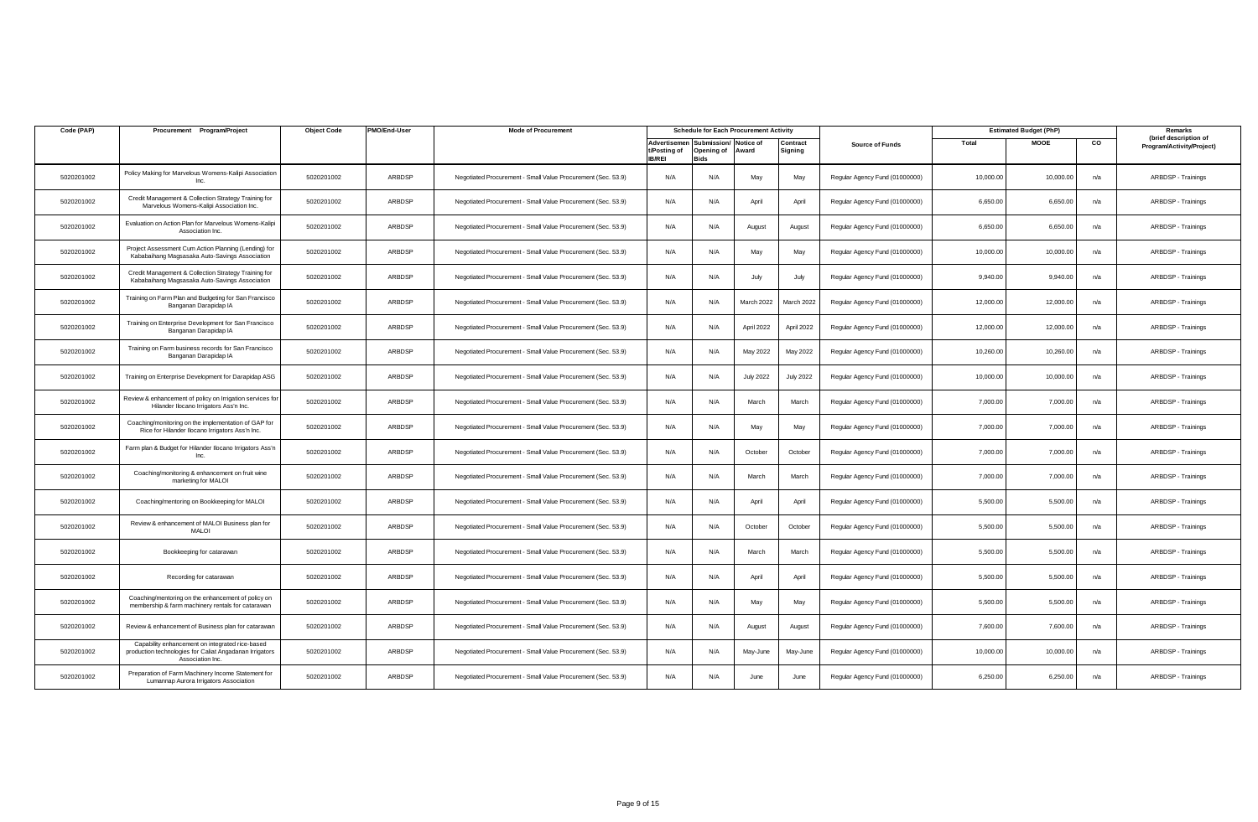| Code (PAP) | Procurement Program/Project                                                                                                    | <b>Object Code</b> | PMO/End-User | <b>Mode of Procurement</b>                                   |                               | <b>Schedule for Each Procurement Activity</b>         |                    |                     |                                |           | <b>Estimated Budget (PhP)</b> |     | Remarks                                            |
|------------|--------------------------------------------------------------------------------------------------------------------------------|--------------------|--------------|--------------------------------------------------------------|-------------------------------|-------------------------------------------------------|--------------------|---------------------|--------------------------------|-----------|-------------------------------|-----|----------------------------------------------------|
|            |                                                                                                                                |                    |              |                                                              | t/Posting of<br><b>IB/REI</b> | Advertisemen Submission/<br>Opening of<br><b>Bids</b> | Notice of<br>Award | Contract<br>Signing | <b>Source of Funds</b>         | Total     | <b>MOOE</b>                   | CO  | (brief description of<br>Program/Activity/Project) |
| 5020201002 | Policy Making for Marvelous Womens-Kalipi Association<br>Inc.                                                                  | 5020201002         | ARBDSP       | Negotiated Procurement - Small Value Procurement (Sec. 53.9) | N/A                           | N/A                                                   | May                | May                 | Regular Agency Fund (01000000) | 10,000.00 | 10,000.00                     | n/a | ARBDSP - Trainings                                 |
| 5020201002 | Credit Management & Collection Strategy Training for<br>Marvelous Womens-Kalipi Association Inc.                               | 5020201002         | ARBDSP       | Negotiated Procurement - Small Value Procurement (Sec. 53.9) | N/A                           | N/A                                                   | April              | April               | Regular Agency Fund (01000000) | 6,650.00  | 6,650.00                      | n/a | ARBDSP - Trainings                                 |
| 5020201002 | Evaluation on Action Plan for Marvelous Womens-Kalipi<br>Association Inc.                                                      | 5020201002         | ARBDSP       | Negotiated Procurement - Small Value Procurement (Sec. 53.9) | N/A                           | N/A                                                   | August             | August              | Regular Agency Fund (01000000) | 6,650.00  | 6,650.00                      | n/a | ARBDSP - Trainings                                 |
| 5020201002 | Project Assessment Cum Action Planning (Lending) for<br>Kababaihang Magsasaka Auto-Savings Association                         | 5020201002         | ARBDSP       | Negotiated Procurement - Small Value Procurement (Sec. 53.9) | N/A                           | N/A                                                   | May                | May                 | Regular Agency Fund (01000000) | 10,000.00 | 10,000.00                     | n/a | ARBDSP - Trainings                                 |
| 5020201002 | Credit Management & Collection Strategy Training for<br>Kababaihang Magsasaka Auto-Savings Association                         | 5020201002         | ARBDSP       | Negotiated Procurement - Small Value Procurement (Sec. 53.9) | N/A                           | N/A                                                   | July               | July                | Regular Agency Fund (01000000) | 9,940.00  | 9.940.00                      | n/a | ARBDSP - Trainings                                 |
| 5020201002 | Training on Farm Plan and Budgeting for San Francisco<br>Banganan Darapidap IA                                                 | 5020201002         | ARBDSP       | Negotiated Procurement - Small Value Procurement (Sec. 53.9) | N/A                           | N/A                                                   | March 2022         | March 2022          | Regular Agency Fund (01000000) | 12,000.00 | 12,000.00                     | n/a | ARBDSP - Trainings                                 |
| 5020201002 | Training on Enterprise Development for San Francisco<br>Banganan Darapidap IA                                                  | 5020201002         | ARBDSP       | Negotiated Procurement - Small Value Procurement (Sec. 53.9) | N/A                           | N/A                                                   | April 2022         | April 2022          | Regular Agency Fund (01000000) | 12,000.00 | 12,000.00                     | n/a | ARBDSP - Trainings                                 |
| 5020201002 | Training on Farm business records for San Francisco<br>Banganan Darapidap IA                                                   | 5020201002         | ARBDSP       | Negotiated Procurement - Small Value Procurement (Sec. 53.9) | N/A                           | N/A                                                   | May 2022           | May 2022            | Regular Agency Fund (01000000) | 10,260.00 | 10,260.00                     | n/a | ARBDSP - Trainings                                 |
| 5020201002 | Training on Enterprise Development for Darapidap ASG                                                                           | 5020201002         | ARBDSP       | Negotiated Procurement - Small Value Procurement (Sec. 53.9) | N/A                           | N/A                                                   | <b>July 2022</b>   | <b>July 2022</b>    | Regular Agency Fund (01000000) | 10,000.00 | 10,000.00                     | n/a | ARBDSP - Trainings                                 |
| 5020201002 | Review & enhancement of policy on Irrigation services for<br>Hilander Ilocano Irrigators Ass'n Inc.                            | 5020201002         | ARBDSP       | Negotiated Procurement - Small Value Procurement (Sec. 53.9) | N/A                           | N/A                                                   | March              | March               | Regular Agency Fund (01000000) | 7.000.00  | 7,000.00                      | n/a | ARBDSP - Trainings                                 |
| 5020201002 | Coaching/monitoring on the implementation of GAP for<br>Rice for Hilander Ilocano Irrigators Ass'n Inc.                        | 5020201002         | ARBDSP       | Negotiated Procurement - Small Value Procurement (Sec. 53.9) | N/A                           | N/A                                                   | May                | May                 | Regular Agency Fund (01000000) | 7,000.00  | 7,000.00                      | n/a | ARBDSP - Trainings                                 |
| 5020201002 | Farm plan & Budget for Hilander Ilocano Irrigators Ass'n<br>Inc.                                                               | 5020201002         | ARBDSP       | Negotiated Procurement - Small Value Procurement (Sec. 53.9) | N/A                           | N/A                                                   | October            | October             | Regular Agency Fund (01000000) | 7,000.00  | 7,000.00                      | n/a | ARBDSP - Trainings                                 |
| 5020201002 | Coaching/monitoring & enhancement on fruit wine<br>marketing for MALOI                                                         | 5020201002         | ARBDSP       | Negotiated Procurement - Small Value Procurement (Sec. 53.9) | N/A                           | N/A                                                   | March              | March               | Regular Agency Fund (01000000) | 7,000.00  | 7,000.00                      | n/a | ARBDSP - Trainings                                 |
| 5020201002 | Coaching/mentoring on Bookkeeping for MALOI                                                                                    | 5020201002         | ARBDSP       | Negotiated Procurement - Small Value Procurement (Sec. 53.9) | N/A                           | N/A                                                   | April              | April               | Regular Agency Fund (01000000) | 5,500.00  | 5,500.00                      | n/a | ARBDSP - Trainings                                 |
| 5020201002 | Review & enhancement of MALOI Business plan for<br><b>MALOI</b>                                                                | 5020201002         | ARBDSP       | Negotiated Procurement - Small Value Procurement (Sec. 53.9) | N/A                           | N/A                                                   | October            | October             | Regular Agency Fund (01000000) | 5,500.00  | 5,500.00                      | n/a | ARBDSP - Trainings                                 |
| 5020201002 | Bookkeeping for catarawan                                                                                                      | 5020201002         | ARBDSP       | Negotiated Procurement - Small Value Procurement (Sec. 53.9) | N/A                           | N/A                                                   | March              | March               | Regular Agency Fund (01000000) | 5,500.00  | 5,500.00                      | n/a | ARBDSP - Trainings                                 |
| 5020201002 | Recording for catarawan                                                                                                        | 5020201002         | ARBDSP       | Negotiated Procurement - Small Value Procurement (Sec. 53.9) | N/A                           | N/A                                                   | April              | April               | Regular Agency Fund (01000000) | 5,500.00  | 5,500.00                      | n/a | ARBDSP - Trainings                                 |
| 5020201002 | Coaching/mentoring on the enhancement of policy on<br>membership & farm machinery rentals for catarawan                        | 5020201002         | ARBDSP       | Negotiated Procurement - Small Value Procurement (Sec. 53.9) | N/A                           | N/A                                                   | May                | May                 | Regular Agency Fund (01000000) | 5,500.00  | 5,500.00                      | n/a | ARBDSP - Trainings                                 |
| 5020201002 | Review & enhancement of Business plan for catarawar                                                                            | 5020201002         | ARBDSP       | Negotiated Procurement - Small Value Procurement (Sec. 53.9) | N/A                           | N/A                                                   | August             | August              | Regular Agency Fund (01000000) | 7,600.00  | 7,600.00                      | n/a | ARBDSP - Trainings                                 |
| 5020201002 | Capability enhancement on integrated rice-based<br>production technologies for Caliat Angadanan Irrigators<br>Association Inc. | 5020201002         | ARBDSP       | Negotiated Procurement - Small Value Procurement (Sec. 53.9) | N/A                           | N/A                                                   | May-June           | May-June            | Regular Agency Fund (01000000) | 10,000.00 | 10,000.00                     | n/a | ARBDSP - Trainings                                 |
| 5020201002 | Preparation of Farm Machinery Income Statement for<br>Lumannap Aurora Irrigators Association                                   | 5020201002         | ARBDSP       | Negotiated Procurement - Small Value Procurement (Sec. 53.9) | N/A                           | N/A                                                   | June               | June                | Regular Agency Fund (01000000) | 6,250.00  | 6,250.00                      | n/a | ARBDSP - Trainings                                 |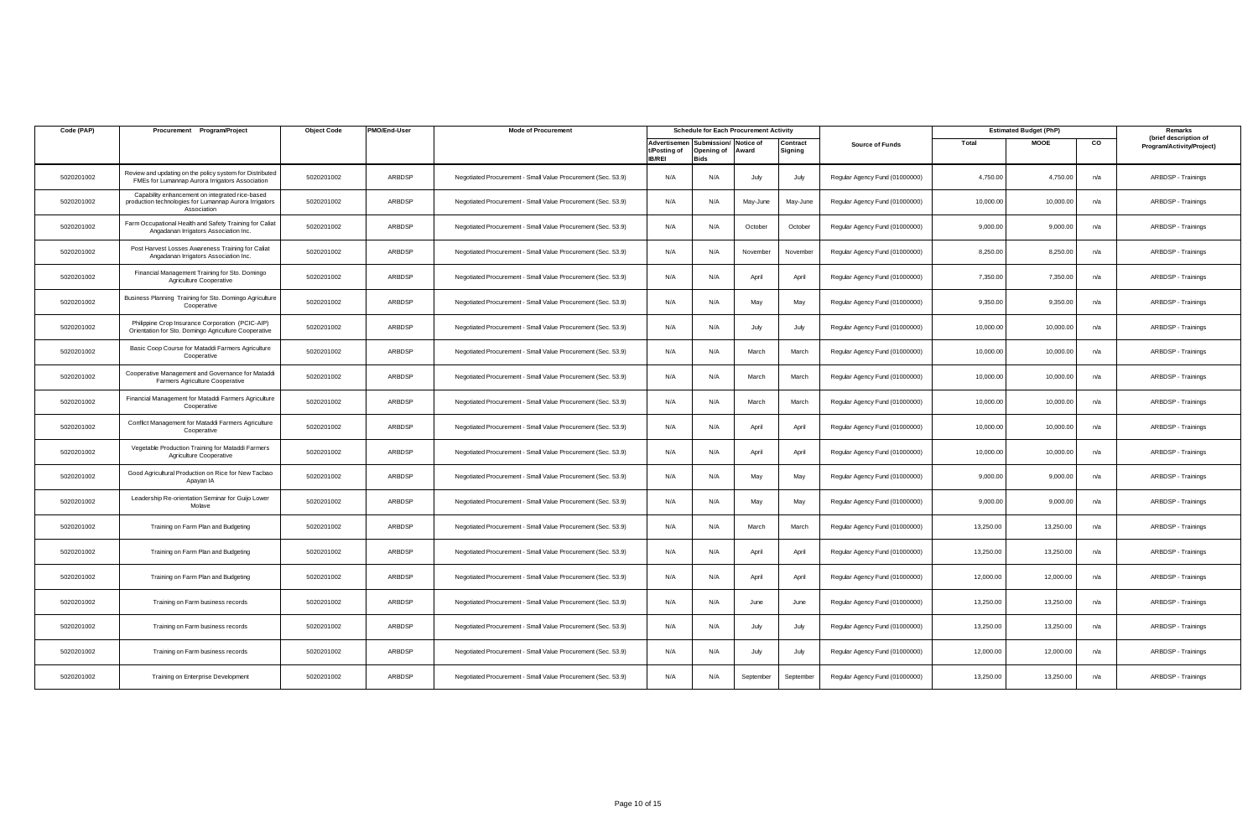| Code (PAP) | Procurement Program/Project                                                                                              | <b>Object Code</b> | PMO/End-User  | <b>Mode of Procurement</b>                                   |                               | <b>Schedule for Each Procurement Activity</b>         |                    |                     |                                |           | <b>Estimated Budget (PhP)</b> |     | Remarks                                            |
|------------|--------------------------------------------------------------------------------------------------------------------------|--------------------|---------------|--------------------------------------------------------------|-------------------------------|-------------------------------------------------------|--------------------|---------------------|--------------------------------|-----------|-------------------------------|-----|----------------------------------------------------|
|            |                                                                                                                          |                    |               |                                                              | t/Posting of<br><b>IB/REI</b> | Advertisemen Submission/<br>Opening of<br><b>Bids</b> | Notice of<br>Award | Contract<br>Signing | <b>Source of Funds</b>         | Total     | <b>MOOE</b>                   | co  | (brief description of<br>Program/Activity/Project) |
| 5020201002 | Review and updating on the policy system for Distributed<br>FMEs for Lumannap Aurora Irrigators Association              | 5020201002         | ARBDSP        | Negotiated Procurement - Small Value Procurement (Sec. 53.9) | N/A                           | N/A                                                   | July               | July                | Regular Agency Fund (01000000) | 4,750.00  | 4,750.00                      | n/a | ARBDSP - Trainings                                 |
| 5020201002 | Capability enhancement on integrated rice-based<br>production technologies for Lumannap Aurora Irrigators<br>Association | 5020201002         | ARBDSP        | Negotiated Procurement - Small Value Procurement (Sec. 53.9) | N/A                           | N/A                                                   | May-June           | May-June            | Regular Agency Fund (01000000) | 10,000.00 | 10,000.00                     | n/a | ARBDSP - Trainings                                 |
| 5020201002 | Farm Occupational Health and Safety Training for Caliat<br>Angadanan Irrigators Association Inc.                         | 5020201002         | ARBDSP        | Negotiated Procurement - Small Value Procurement (Sec. 53.9) | N/A                           | N/A                                                   | October            | October             | Regular Agency Fund (01000000) | 9,000.00  | 9,000.00                      | n/a | ARBDSP - Trainings                                 |
| 5020201002 | Post Harvest Losses Awareness Training for Caliat<br>Angadanan Irrigators Association Inc.                               | 5020201002         | ARBDSP        | Negotiated Procurement - Small Value Procurement (Sec. 53.9) | N/A                           | N/A                                                   | November           | November            | Regular Agency Fund (01000000) | 8,250.00  | 8,250.00                      | n/a | ARBDSP - Trainings                                 |
| 5020201002 | Financial Management Training for Sto. Domingo<br>Agriculture Cooperative                                                | 5020201002         | ARBDSP        | Negotiated Procurement - Small Value Procurement (Sec. 53.9) | N/A                           | N/A                                                   | April              | April               | Regular Agency Fund (01000000) | 7,350.00  | 7,350.00                      | n/a | ARBDSP - Trainings                                 |
| 5020201002 | Business Planning Training for Sto. Domingo Agriculture<br>Cooperative                                                   | 5020201002         | ARBDSP        | Negotiated Procurement - Small Value Procurement (Sec. 53.9) | N/A                           | N/A                                                   | May                | May                 | Regular Agency Fund (01000000) | 9,350.00  | 9,350.00                      | n/a | ARBDSP - Trainings                                 |
| 5020201002 | Philippine Crop Insurance Corporation (PCIC-AIP)<br>Orientation for Sto. Domingo Agriculture Cooperative                 | 5020201002         | ARBDSP        | Negotiated Procurement - Small Value Procurement (Sec. 53.9) | N/A                           | N/A                                                   | July               | July                | Regular Agency Fund (01000000) | 10,000.00 | 10,000.00                     | n/a | ARBDSP - Trainings                                 |
| 5020201002 | Basic Coop Course for Mataddi Farmers Agriculture<br>Cooperative                                                         | 5020201002         | ARBDSP        | Negotiated Procurement - Small Value Procurement (Sec. 53.9) | N/A                           | N/A                                                   | March              | March               | Regular Agency Fund (01000000) | 10,000.00 | 10,000.00                     | n/a | ARBDSP - Trainings                                 |
| 5020201002 | Cooperative Management and Governance for Mataddi<br>Farmers Agriculture Cooperative                                     | 5020201002         | ARBDSP        | Negotiated Procurement - Small Value Procurement (Sec. 53.9) | N/A                           | N/A                                                   | March              | March               | Regular Agency Fund (01000000) | 10,000.00 | 10,000.00                     | n/a | ARBDSP - Trainings                                 |
| 5020201002 | Financial Management for Mataddi Farmers Agriculture<br>Cooperative                                                      | 5020201002         | ARBDSP        | Negotiated Procurement - Small Value Procurement (Sec. 53.9) | N/A                           | N/A                                                   | March              | March               | Regular Agency Fund (01000000) | 10.000.00 | 10,000.00                     | n/a | ARBDSP - Trainings                                 |
| 5020201002 | Conflict Management for Mataddi Farmers Agriculture<br>Cooperative                                                       | 5020201002         | ARBDSP        | Negotiated Procurement - Small Value Procurement (Sec. 53.9) | N/A                           | N/A                                                   | April              | April               | Regular Agency Fund (01000000) | 10,000.00 | 10,000.00                     | n/a | ARBDSP - Trainings                                 |
| 5020201002 | Vegetable Production Training for Mataddi Farmers<br>Agriculture Cooperative                                             | 5020201002         | ARBDSP        | Negotiated Procurement - Small Value Procurement (Sec. 53.9) | N/A                           | N/A                                                   | April              | April               | Regular Agency Fund (01000000) | 10,000.00 | 10,000.00                     | n/a | ARBDSP - Trainings                                 |
| 5020201002 | Good Agricultural Production on Rice for New Tacbao<br>Apayan IA                                                         | 5020201002         | ARBDSP        | Negotiated Procurement - Small Value Procurement (Sec. 53.9) | N/A                           | N/A                                                   | May                | May                 | Regular Agency Fund (01000000) | 9,000.00  | 9,000.00                      | n/a | ARBDSP - Trainings                                 |
| 5020201002 | Leadership Re-orientation Seminar for Guijo Lower<br>Molave                                                              | 5020201002         | ARBDSP        | Negotiated Procurement - Small Value Procurement (Sec. 53.9) | N/A                           | N/A                                                   | May                | May                 | Regular Agency Fund (01000000) | 9,000.00  | 9,000.00                      | n/a | ARBDSP - Trainings                                 |
| 5020201002 | Training on Farm Plan and Budgeting                                                                                      | 5020201002         | ARBDSP        | Negotiated Procurement - Small Value Procurement (Sec. 53.9) | N/A                           | N/A                                                   | March              | March               | Regular Agency Fund (01000000) | 13,250.00 | 13,250.00                     | n/a | ARBDSP - Trainings                                 |
| 5020201002 | Training on Farm Plan and Budgeting                                                                                      | 5020201002         | ARBDSP        | Negotiated Procurement - Small Value Procurement (Sec. 53.9) | N/A                           | N/A                                                   | April              | April               | Regular Agency Fund (01000000) | 13,250.00 | 13,250.00                     | n/a | ARBDSP - Trainings                                 |
| 5020201002 | Training on Farm Plan and Budgeting                                                                                      | 5020201002         | ARBDSP        | Negotiated Procurement - Small Value Procurement (Sec. 53.9) | N/A                           | N/A                                                   | April              | April               | Regular Agency Fund (01000000) | 12,000.00 | 12,000.00                     | n/a | ARBDSP - Trainings                                 |
| 5020201002 | Training on Farm business records                                                                                        | 5020201002         | ARBDSP        | Negotiated Procurement - Small Value Procurement (Sec. 53.9) | N/A                           | N/A                                                   | June               | June                | Regular Agency Fund (01000000) | 13,250.00 | 13,250.00                     | n/a | ARBDSP - Trainings                                 |
| 5020201002 | Training on Farm business records                                                                                        | 5020201002         | ARBDSP        | Negotiated Procurement - Small Value Procurement (Sec. 53.9) | N/A                           | N/A                                                   | July               | July                | Regular Agency Fund (01000000) | 13,250.00 | 13,250.00                     | n/a | ARBDSP - Trainings                                 |
| 5020201002 | Training on Farm business records                                                                                        | 5020201002         | ARBDSP        | Negotiated Procurement - Small Value Procurement (Sec. 53.9) | N/A                           | N/A                                                   | July               | July                | Regular Agency Fund (01000000) | 12,000.00 | 12,000.00                     | n/a | ARBDSP - Trainings                                 |
| 5020201002 | Training on Enterprise Development                                                                                       | 5020201002         | <b>ARBDSP</b> | Negotiated Procurement - Small Value Procurement (Sec. 53.9) | N/A                           | N/A                                                   | September          | September           | Regular Agency Fund (01000000) | 13,250.00 | 13,250.00                     | n/a | ARBDSP - Trainings                                 |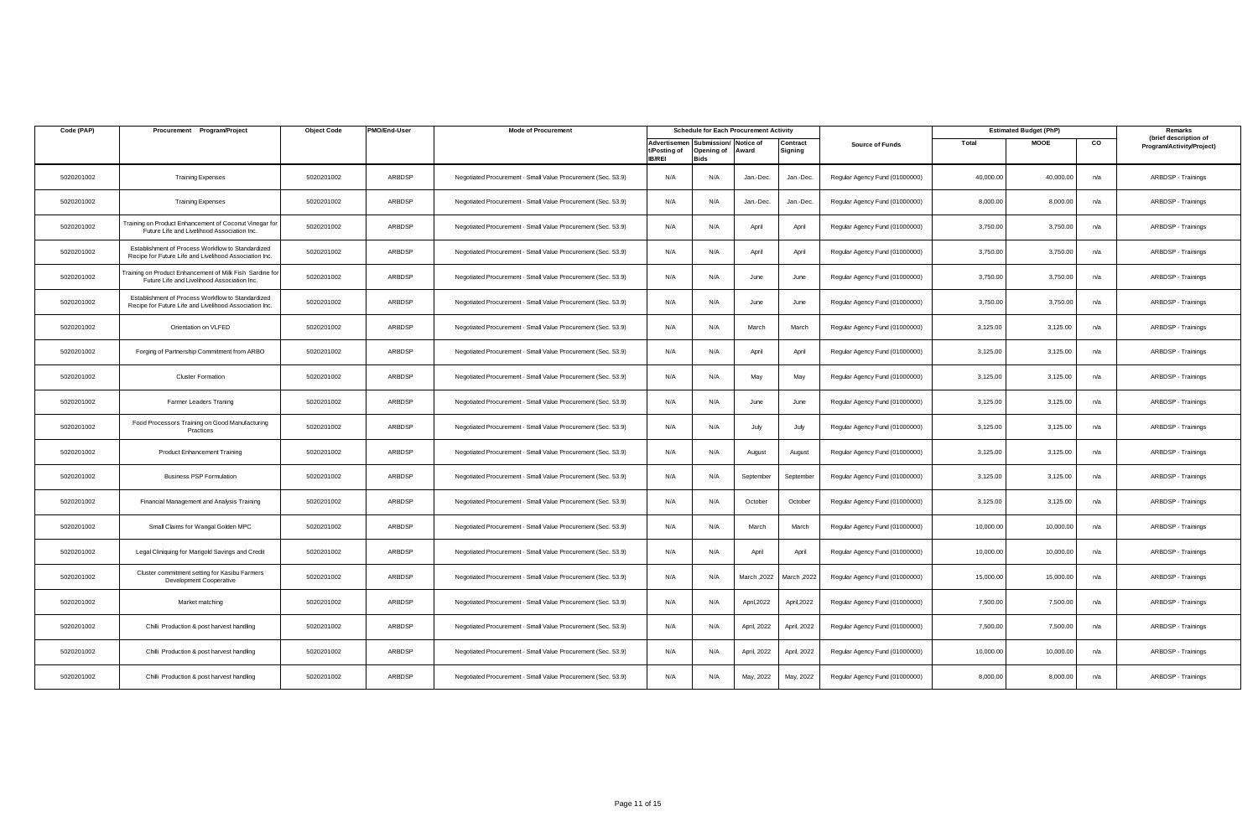| Code (PAP) | Procurement Program/Project                                                                                 | <b>Object Code</b> | PMO/End-User | <b>Mode of Procurement</b>                                   |                               |                                                       | <b>Schedule for Each Procurement Activity</b> |                     |                                |           | <b>Estimated Budget (PhP)</b> |     | Remarks                                            |
|------------|-------------------------------------------------------------------------------------------------------------|--------------------|--------------|--------------------------------------------------------------|-------------------------------|-------------------------------------------------------|-----------------------------------------------|---------------------|--------------------------------|-----------|-------------------------------|-----|----------------------------------------------------|
|            |                                                                                                             |                    |              |                                                              | t/Posting of<br><b>IB/REI</b> | Advertisemen Submission/<br>Opening of<br><b>Bids</b> | Notice of<br>Award                            | Contract<br>Signing | <b>Source of Funds</b>         | Total     | <b>MOOE</b>                   | CO  | (brief description of<br>Program/Activity/Project) |
| 5020201002 | <b>Training Expenses</b>                                                                                    | 5020201002         | ARBDSP       | Negotiated Procurement - Small Value Procurement (Sec. 53.9) | N/A                           | N/A                                                   | Jan.-Dec.                                     | Jan.-Dec.           | Regular Agency Fund (01000000) | 40,000.00 | 40,000.00                     | n/a | ARBDSP - Trainings                                 |
| 5020201002 | <b>Training Expenses</b>                                                                                    | 5020201002         | ARBDSP       | Negotiated Procurement - Small Value Procurement (Sec. 53.9) | N/A                           | N/A                                                   | Jan.-Dec.                                     | Jan.-Dec.           | Regular Agency Fund (01000000) | 8,000.00  | 8,000.00                      | n/a | ARBDSP - Trainings                                 |
| 5020201002 | Fraining on Product Enhancement of Coconut Vinegar for<br>Future Life and Livelihood Association Inc.       | 5020201002         | ARBDSP       | Negotiated Procurement - Small Value Procurement (Sec. 53.9) | N/A                           | N/A                                                   | April                                         | April               | Regular Agency Fund (01000000) | 3,750.00  | 3,750.00                      | n/a | ARBDSP - Trainings                                 |
| 5020201002 | Establishment of Process Workflow to Standardized<br>Recipe for Future Life and Livelihood Association Inc. | 5020201002         | ARBDSP       | Negotiated Procurement - Small Value Procurement (Sec. 53.9) | N/A                           | N/A                                                   | April                                         | April               | Regular Agency Fund (01000000) | 3,750.00  | 3,750.00                      | n/a | ARBDSP - Trainings                                 |
| 5020201002 | raining on Product Enhancement of Milk Fish Sardine for<br>Future Life and Livelihood Association Inc.      | 5020201002         | ARBDSP       | Negotiated Procurement - Small Value Procurement (Sec. 53.9) | N/A                           | N/A                                                   | June                                          | June                | Regular Agency Fund (01000000) | 3,750.00  | 3,750.00                      | n/a | ARBDSP - Trainings                                 |
| 5020201002 | Establishment of Process Workflow to Standardized<br>Recipe for Future Life and Livelihood Association Inc. | 5020201002         | ARBDSP       | Negotiated Procurement - Small Value Procurement (Sec. 53.9) | N/A                           | N/A                                                   | June                                          | June                | Regular Agency Fund (01000000) | 3,750.00  | 3,750.00                      | n/a | ARBDSP - Trainings                                 |
| 5020201002 | Orientation on VLFED                                                                                        | 5020201002         | ARBDSP       | Negotiated Procurement - Small Value Procurement (Sec. 53.9) | N/A                           | N/A                                                   | March                                         | March               | Regular Agency Fund (01000000) | 3,125.00  | 3,125.00                      | n/a | ARBDSP - Trainings                                 |
| 5020201002 | Forging of Partnership Commitment from ARBO                                                                 | 5020201002         | ARBDSP       | Negotiated Procurement - Small Value Procurement (Sec. 53.9) | N/A                           | N/A                                                   | April                                         | April               | Regular Agency Fund (01000000) | 3,125.00  | 3,125.00                      | n/a | ARBDSP - Trainings                                 |
| 5020201002 | <b>Cluster Formation</b>                                                                                    | 5020201002         | ARBDSP       | Negotiated Procurement - Small Value Procurement (Sec. 53.9) | N/A                           | N/A                                                   | May                                           | May                 | Regular Agency Fund (01000000) | 3,125.00  | 3,125.00                      | n/a | ARBDSP - Trainings                                 |
| 5020201002 | Farmer Leaders Traning                                                                                      | 5020201002         | ARBDSP       | Negotiated Procurement - Small Value Procurement (Sec. 53.9) | N/A                           | N/A                                                   | June                                          | June                | Regular Agency Fund (01000000) | 3,125.00  | 3,125.00                      | n/a | ARBDSP - Trainings                                 |
| 5020201002 | Food Processors Training on Good Manufacturing<br>Practices                                                 | 5020201002         | ARBDSP       | Negotiated Procurement - Small Value Procurement (Sec. 53.9) | N/A                           | N/A                                                   | July                                          | July                | Regular Agency Fund (01000000) | 3,125.00  | 3,125.00                      | n/a | ARBDSP - Trainings                                 |
| 5020201002 | <b>Product Enhancement Training</b>                                                                         | 5020201002         | ARBDSP       | Negotiated Procurement - Small Value Procurement (Sec. 53.9) | N/A                           | N/A                                                   | August                                        | August              | Regular Agency Fund (01000000) | 3,125.00  | 3,125.00                      | n/a | ARBDSP - Trainings                                 |
| 5020201002 | <b>Business PSP Formulation</b>                                                                             | 5020201002         | ARBDSP       | Negotiated Procurement - Small Value Procurement (Sec. 53.9) | N/A                           | N/A                                                   | September                                     | September           | Regular Agency Fund (01000000) | 3,125.00  | 3,125.00                      | n/a | ARBDSP - Trainings                                 |
| 5020201002 | Financial Management and Analysis Training                                                                  | 5020201002         | ARBDSP       | Negotiated Procurement - Small Value Procurement (Sec. 53.9) | N/A                           | N/A                                                   | October                                       | October             | Regular Agency Fund (01000000) | 3,125.00  | 3,125.00                      | n/a | ARBDSP - Trainings                                 |
| 5020201002 | Small Claims for Wangal Golden MPC                                                                          | 5020201002         | ARBDSP       | Negotiated Procurement - Small Value Procurement (Sec. 53.9) | N/A                           | N/A                                                   | March                                         | March               | Regular Agency Fund (01000000) | 10,000.00 | 10,000.00                     | n/a | ARBDSP - Trainings                                 |
| 5020201002 | Legal Cliniquing for Marigold Savings and Credit                                                            | 5020201002         | ARBDSP       | Negotiated Procurement - Small Value Procurement (Sec. 53.9) | N/A                           | N/A                                                   | April                                         | April               | Regular Agency Fund (01000000) | 10,000.00 | 10,000.00                     | n/a | ARBDSP - Trainings                                 |
| 5020201002 | Cluster commitment setting for Kasibu Farmers<br>Development Cooperative                                    | 5020201002         | ARBDSP       | Negotiated Procurement - Small Value Procurement (Sec. 53.9) | N/A                           | N/A                                                   | March, 2022                                   | 2022, March         | Regular Agency Fund (01000000) | 15,000.00 | 15,000.00                     | n/a | ARBDSP - Trainings                                 |
| 5020201002 | Market matching                                                                                             | 5020201002         | ARBDSP       | Negotiated Procurement - Small Value Procurement (Sec. 53.9) | N/A                           | N/A                                                   | April, 2022                                   | April, 2022         | Regular Agency Fund (01000000) | 7,500.00  | 7,500.00                      | n/a | ARBDSP - Trainings                                 |
| 5020201002 | Chilli Production & post harvest handling                                                                   | 5020201002         | ARBDSP       | Negotiated Procurement - Small Value Procurement (Sec. 53.9) | N/A                           | N/A                                                   | April, 2022                                   | April, 2022         | Regular Agency Fund (01000000) | 7,500.00  | 7,500.00                      | n/a | ARBDSP - Trainings                                 |
| 5020201002 | Chilli Production & post harvest handling                                                                   | 5020201002         | ARBDSP       | Negotiated Procurement - Small Value Procurement (Sec. 53.9) | N/A                           | N/A                                                   | April, 2022                                   | April, 2022         | Regular Agency Fund (01000000) | 10,000.00 | 10,000.00                     | n/a | ARBDSP - Trainings                                 |
| 5020201002 | Chilli Production & post harvest handling                                                                   | 5020201002         | ARBDSP       | Negotiated Procurement - Small Value Procurement (Sec. 53.9) | N/A                           | N/A                                                   | May, 2022                                     | May, 2022           | Regular Agency Fund (01000000) | 8,000.00  | 8,000.00                      | n/a | ARBDSP - Trainings                                 |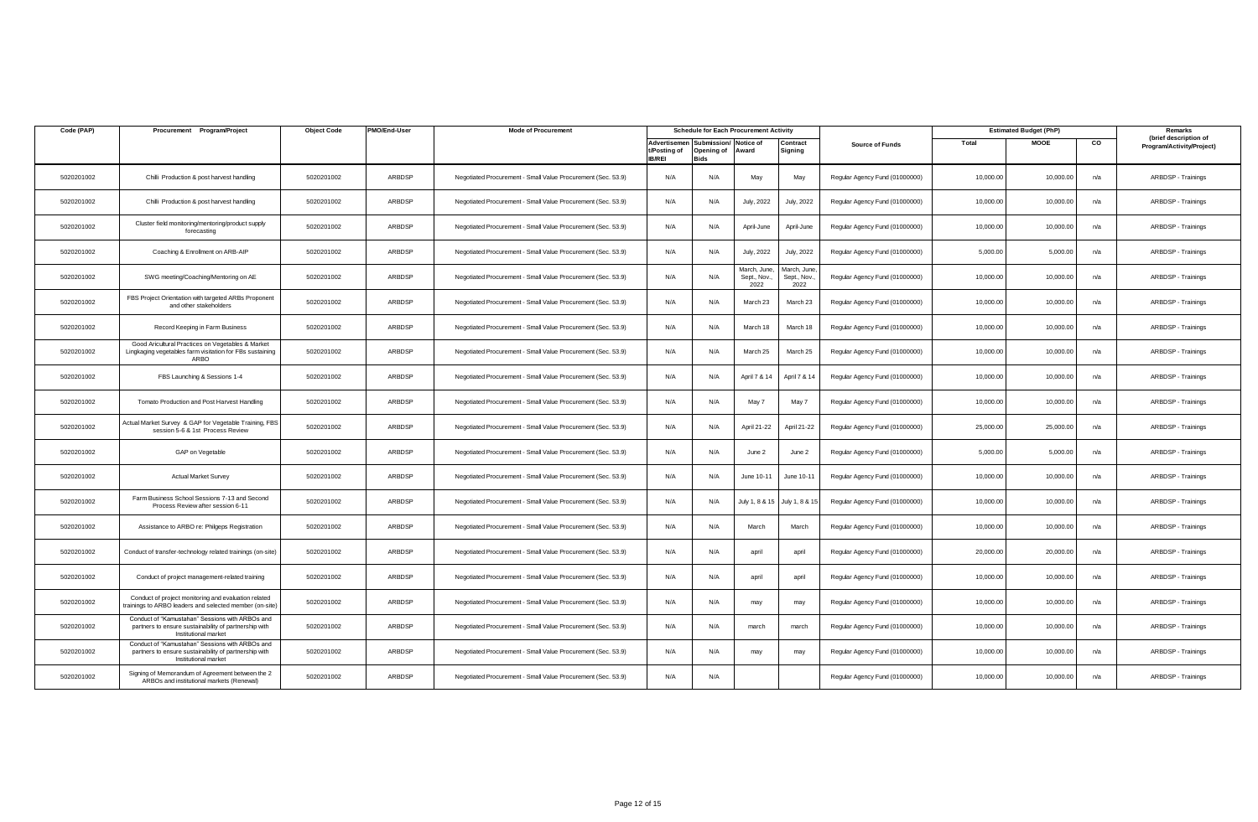| Code (PAP) | Procurement Program/Project                                                                                                      | <b>Object Code</b> | PMO/End-User | <b>Mode of Procurement</b>                                   |                               | <b>Schedule for Each Procurement Activity</b>         |                                     |                                    |                                |           | <b>Estimated Budget (PhP)</b> |     | Remarks                                            |
|------------|----------------------------------------------------------------------------------------------------------------------------------|--------------------|--------------|--------------------------------------------------------------|-------------------------------|-------------------------------------------------------|-------------------------------------|------------------------------------|--------------------------------|-----------|-------------------------------|-----|----------------------------------------------------|
|            |                                                                                                                                  |                    |              |                                                              | t/Posting of<br><b>IB/REI</b> | Advertisemen Submission/<br>Opening of<br><b>Bids</b> | Notice of<br>Award                  | Contract<br>Signing                | <b>Source of Funds</b>         | Total     | <b>MOOE</b>                   | CO  | (brief description of<br>Program/Activity/Project) |
| 5020201002 | Chilli Production & post harvest handling                                                                                        | 5020201002         | ARBDSP       | Negotiated Procurement - Small Value Procurement (Sec. 53.9) | N/A                           | N/A                                                   | May                                 | May                                | Regular Agency Fund (01000000) | 10,000.00 | 10,000.00                     | n/a | ARBDSP - Trainings                                 |
| 5020201002 | Chilli Production & post harvest handling                                                                                        | 5020201002         | ARBDSP       | Negotiated Procurement - Small Value Procurement (Sec. 53.9) | N/A                           | N/A                                                   | July, 2022                          | July, 2022                         | Regular Agency Fund (01000000) | 10,000.00 | 10,000.00                     | n/a | ARBDSP - Trainings                                 |
| 5020201002 | Cluster field monitoring/mentoring/product supply<br>forecasting                                                                 | 5020201002         | ARBDSP       | Negotiated Procurement - Small Value Procurement (Sec. 53.9) | N/A                           | N/A                                                   | April-June                          | April-June                         | Regular Agency Fund (01000000) | 10,000.00 | 10,000.00                     | n/a | ARBDSP - Trainings                                 |
| 5020201002 | Coaching & Enrollment on ARB-AIP                                                                                                 | 5020201002         | ARBDSP       | Negotiated Procurement - Small Value Procurement (Sec. 53.9) | N/A                           | N/A                                                   | July, 2022                          | July, 2022                         | Regular Agency Fund (01000000) | 5,000.00  | 5,000.00                      | n/a | ARBDSP - Trainings                                 |
| 5020201002 | SWG meeting/Coaching/Mentoring on AE                                                                                             | 5020201002         | ARBDSP       | Negotiated Procurement - Small Value Procurement (Sec. 53.9) | N/A                           | N/A                                                   | March, June,<br>Sept., Nov.<br>2022 | March, June<br>Sept., Nov.<br>2022 | Regular Agency Fund (01000000) | 10,000.00 | 10,000.00                     | n/a | ARBDSP - Trainings                                 |
| 5020201002 | FBS Project Orientation with targeted ARBs Proponen<br>and other stakeholders                                                    | 5020201002         | ARBDSP       | Negotiated Procurement - Small Value Procurement (Sec. 53.9) | N/A                           | N/A                                                   | March 23                            | March 23                           | Regular Agency Fund (01000000) | 10,000.00 | 10,000.00                     | n/a | ARBDSP - Trainings                                 |
| 5020201002 | Record Keeping in Farm Business                                                                                                  | 5020201002         | ARBDSP       | Negotiated Procurement - Small Value Procurement (Sec. 53.9) | N/A                           | N/A                                                   | March 18                            | March 18                           | Regular Agency Fund (01000000) | 10,000.00 | 10,000.00                     | n/a | ARBDSP - Trainings                                 |
| 5020201002 | Good Aricultural Practices on Vegetables & Market<br>Lingkaging vegetables farm visitation for FBs sustaining<br>ARBO            | 5020201002         | ARBDSP       | Negotiated Procurement - Small Value Procurement (Sec. 53.9) | N/A                           | N/A                                                   | March 25                            | March 25                           | Regular Agency Fund (01000000) | 10,000.00 | 10,000.00                     | n/a | ARBDSP - Trainings                                 |
| 5020201002 | FBS Launching & Sessions 1-4                                                                                                     | 5020201002         | ARBDSP       | Negotiated Procurement - Small Value Procurement (Sec. 53.9) | N/A                           | N/A                                                   | April 7 & 14                        | April 7 & 14                       | Regular Agency Fund (01000000) | 10,000.00 | 10,000.00                     | n/a | ARBDSP - Trainings                                 |
| 5020201002 | Tomato Production and Post Harvest Handling                                                                                      | 5020201002         | ARBDSP       | Negotiated Procurement - Small Value Procurement (Sec. 53.9) | N/A                           | N/A                                                   | May 7                               | May 7                              | Regular Agency Fund (01000000) | 10.000.00 | 10,000.00                     | n/a | ARBDSP - Trainings                                 |
| 5020201002 | Actual Market Survey & GAP for Vegetable Training, FBS<br>session 5-6 & 1st Process Review                                       | 5020201002         | ARBDSP       | Negotiated Procurement - Small Value Procurement (Sec. 53.9) | N/A                           | N/A                                                   | April 21-22                         | April 21-22                        | Regular Agency Fund (01000000) | 25,000.00 | 25,000.00                     | n/a | ARBDSP - Trainings                                 |
| 5020201002 | GAP on Vegetable                                                                                                                 | 5020201002         | ARBDSP       | Negotiated Procurement - Small Value Procurement (Sec. 53.9) | N/A                           | N/A                                                   | June 2                              | June 2                             | Regular Agency Fund (01000000) | 5,000.00  | 5,000.00                      | n/a | ARBDSP - Trainings                                 |
| 5020201002 | <b>Actual Market Survey</b>                                                                                                      | 5020201002         | ARBDSP       | Negotiated Procurement - Small Value Procurement (Sec. 53.9) | N/A                           | N/A                                                   | June 10-11                          | June 10-11                         | Regular Agency Fund (01000000) | 10,000.00 | 10,000.00                     | n/a | ARBDSP - Trainings                                 |
| 5020201002 | Farm Business School Sessions 7-13 and Second<br>Process Review after session 6-11                                               | 5020201002         | ARBDSP       | Negotiated Procurement - Small Value Procurement (Sec. 53.9) | N/A                           | N/A                                                   | July 1, 8 & 15                      | July 1, 8 &                        | Regular Agency Fund (01000000) | 10,000.00 | 10,000.00                     | n/a | ARBDSP - Trainings                                 |
| 5020201002 | Assistance to ARBO re: Philgeps Registration                                                                                     | 5020201002         | ARBDSP       | Negotiated Procurement - Small Value Procurement (Sec. 53.9) | N/A                           | N/A                                                   | March                               | March                              | Regular Agency Fund (01000000) | 10,000.00 | 10,000.00                     | n/a | ARBDSP - Trainings                                 |
| 5020201002 | Conduct of transfer-technology related trainings (on-site)                                                                       | 5020201002         | ARBDSP       | Negotiated Procurement - Small Value Procurement (Sec. 53.9) | N/A                           | N/A                                                   | april                               | april                              | Regular Agency Fund (01000000) | 20,000.00 | 20,000.00                     | n/a | ARBDSP - Trainings                                 |
| 5020201002 | Conduct of project management-related training                                                                                   | 5020201002         | ARBDSP       | Negotiated Procurement - Small Value Procurement (Sec. 53.9) | N/A                           | N/A                                                   | april                               | april                              | Regular Agency Fund (01000000) | 10,000.00 | 10,000.00                     | n/a | ARBDSP - Trainings                                 |
| 5020201002 | Conduct of project monitoring and evaluation related<br>rainings to ARBO leaders and selected member (on-site                    | 5020201002         | ARBDSP       | Negotiated Procurement - Small Value Procurement (Sec. 53.9) | N/A                           | N/A                                                   | may                                 | may                                | Regular Agency Fund (01000000) | 10,000.00 | 10,000.00                     | n/a | ARBDSP - Trainings                                 |
| 5020201002 | Conduct of "Kamustahan" Sessions with ARBOs and<br>partners to ensure sustainability of partnership with<br>Institutional market | 5020201002         | ARBDSP       | Negotiated Procurement - Small Value Procurement (Sec. 53.9) | N/A                           | N/A                                                   | march                               | march                              | Regular Agency Fund (01000000) | 10,000.00 | 10,000.00                     | n/a | ARBDSP - Trainings                                 |
| 5020201002 | Conduct of "Kamustahan" Sessions with ARBOs and<br>partners to ensure sustainability of partnership with<br>Institutional market | 5020201002         | ARBDSP       | Negotiated Procurement - Small Value Procurement (Sec. 53.9) | N/A                           | N/A                                                   | may                                 | may                                | Regular Agency Fund (01000000) | 10,000.00 | 10,000.00                     | n/a | ARBDSP - Trainings                                 |
| 5020201002 | Signing of Memorandum of Agreement between the 2<br>ARBOs and institutional markets (Renewal)                                    | 5020201002         | ARBDSP       | Negotiated Procurement - Small Value Procurement (Sec. 53.9) | N/A                           | N/A                                                   |                                     |                                    | Regular Agency Fund (01000000) | 10,000.00 | 10,000.00                     | n/a | ARBDSP - Trainings                                 |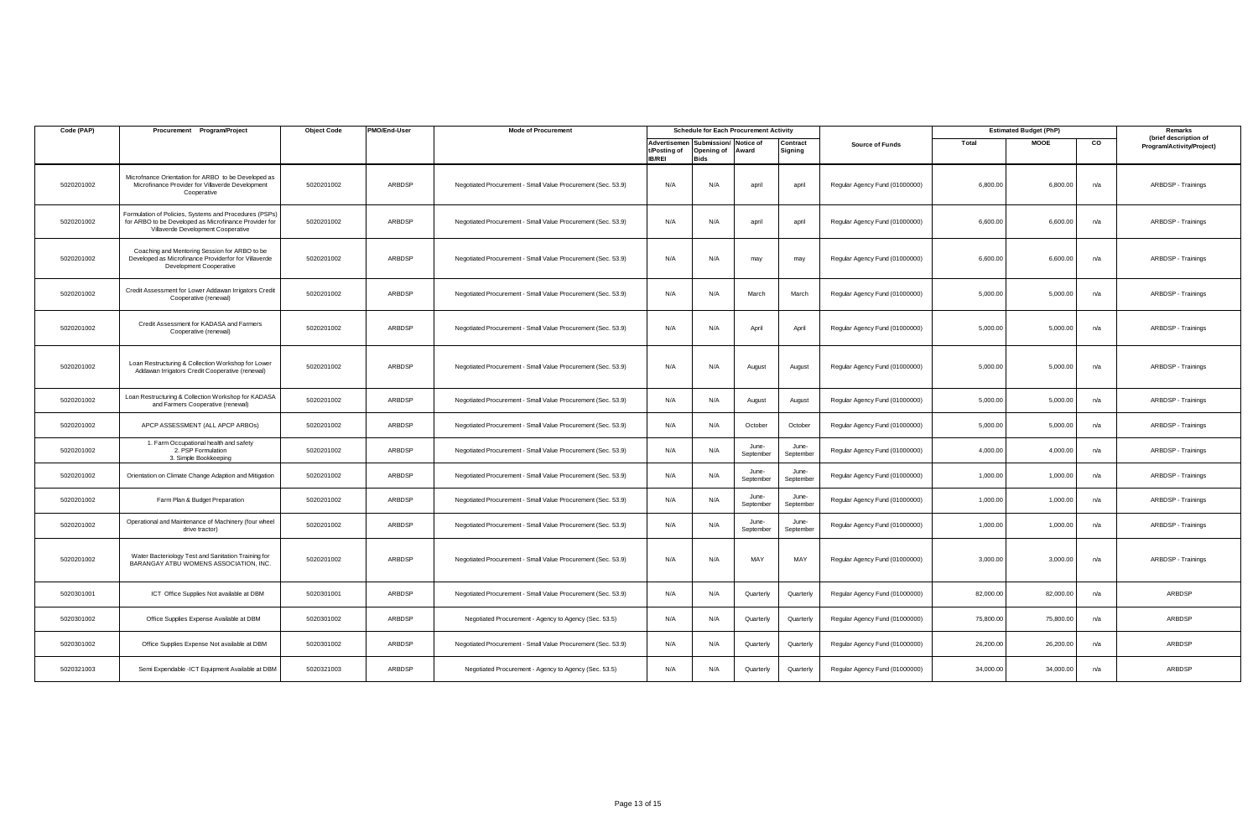| Code (PAP) | Procurement<br>Program/Project                                                                                                                        | <b>Object Code</b> | PMO/End-User | <b>Mode of Procurement</b>                                   | <b>Schedule for Each Procurement Activity</b> |                                                          |                    | <b>Estimated Budget (PhP)</b> |                                |           | Remarks     |     |                                                    |
|------------|-------------------------------------------------------------------------------------------------------------------------------------------------------|--------------------|--------------|--------------------------------------------------------------|-----------------------------------------------|----------------------------------------------------------|--------------------|-------------------------------|--------------------------------|-----------|-------------|-----|----------------------------------------------------|
|            |                                                                                                                                                       |                    |              |                                                              | t/Posting of<br><b>IB/REI</b>                 | Advertisemen Submission/ Notice of<br>Opening of<br>Bids | Award              | Contract<br>Signing           | <b>Source of Funds</b>         | Total     | <b>MOOE</b> | CO  | (brief description of<br>Program/Activity/Project) |
| 5020201002 | Microfnance Orientation for ARBO to be Developed as<br>Microfinance Provider for Villaverde Development<br>Cooperative                                | 5020201002         | ARBDSP       | Negotiated Procurement - Small Value Procurement (Sec. 53.9) | N/A                                           | N/A                                                      | april              | april                         | Regular Agency Fund (01000000) | 6,800.00  | 6,800.00    | n/a | ARBDSP - Trainings                                 |
| 5020201002 | Formulation of Policies, Systems and Procedures (PSPs)<br>for ARBO to be Developed as Microfinance Provider for<br>Villaverde Development Cooperative | 5020201002         | ARBDSP       | Negotiated Procurement - Small Value Procurement (Sec. 53.9) | N/A                                           | N/A                                                      | april              | april                         | Regular Agency Fund (01000000) | 6,600.00  | 6,600.00    | n/a | ARBDSP - Trainings                                 |
| 5020201002 | Coaching and Mentoring Session for ARBO to be<br>Developed as Microfinance Providerfor for Villaverde<br>Development Cooperative                      | 5020201002         | ARBDSP       | Negotiated Procurement - Small Value Procurement (Sec. 53.9) | N/A                                           | N/A                                                      | may                | may                           | Regular Agency Fund (01000000) | 6,600.00  | 6,600.00    | n/a | ARBDSP - Trainings                                 |
| 5020201002 | Credit Assessment for Lower Addawan Irrigators Credit<br>Cooperative (renewal)                                                                        | 5020201002         | ARBDSP       | Negotiated Procurement - Small Value Procurement (Sec. 53.9) | N/A                                           | N/A                                                      | March              | March                         | Regular Agency Fund (01000000) | 5,000.00  | 5,000.00    | n/a | ARBDSP - Trainings                                 |
| 5020201002 | Credit Assessment for KADASA and Farmers<br>Cooperative (renewal)                                                                                     | 5020201002         | ARBDSP       | Negotiated Procurement - Small Value Procurement (Sec. 53.9) | N/A                                           | N/A                                                      | April              | April                         | Regular Agency Fund (01000000) | 5,000.00  | 5,000.00    | n/a | ARBDSP - Trainings                                 |
| 5020201002 | Loan Restructuring & Collection Workshop for Lower<br>Addawan Irrigators Credit Cooperative (renewal)                                                 | 5020201002         | ARBDSP       | Negotiated Procurement - Small Value Procurement (Sec. 53.9) | N/A                                           | N/A                                                      | August             | August                        | Regular Agency Fund (01000000) | 5,000.00  | 5,000.00    | n/a | ARBDSP - Trainings                                 |
| 5020201002 | Loan Restructuring & Collection Workshop for KADASA<br>and Farmers Cooperative (renewal)                                                              | 5020201002         | ARBDSP       | Negotiated Procurement - Small Value Procurement (Sec. 53.9) | N/A                                           | N/A                                                      | August             | August                        | Regular Agency Fund (01000000) | 5,000.00  | 5,000.00    | n/a | ARBDSP - Trainings                                 |
| 5020201002 | APCP ASSESSMENT (ALL APCP ARBOS)                                                                                                                      | 5020201002         | ARBDSP       | Negotiated Procurement - Small Value Procurement (Sec. 53.9) | N/A                                           | N/A                                                      | October            | October                       | Regular Agency Fund (01000000) | 5,000.00  | 5,000.00    | n/a | ARBDSP - Trainings                                 |
| 5020201002 | 1. Farm Occupational health and safety<br>2. PSP Formulation<br>3. Simple Bookkeeping                                                                 | 5020201002         | ARBDSP       | Negotiated Procurement - Small Value Procurement (Sec. 53.9) | N/A                                           | N/A                                                      | June-<br>September | June-<br>September            | Regular Agency Fund (01000000) | 4,000.00  | 4,000.00    | n/a | ARBDSP - Trainings                                 |
| 5020201002 | Orientation on Climate Change Adaption and Mitigation                                                                                                 | 5020201002         | ARBDSP       | Negotiated Procurement - Small Value Procurement (Sec. 53.9) | N/A                                           | N/A                                                      | June-<br>September | June-<br>September            | Regular Agency Fund (01000000) | 1,000.00  | 1,000.00    | n/a | ARBDSP - Trainings                                 |
| 5020201002 | Farm Plan & Budget Preparation                                                                                                                        | 5020201002         | ARBDSP       | Negotiated Procurement - Small Value Procurement (Sec. 53.9) | N/A                                           | N/A                                                      | June-<br>September | June-<br>September            | Regular Agency Fund (01000000) | 1,000.00  | 1,000.00    | n/a | ARBDSP - Trainings                                 |
| 5020201002 | Operational and Maintenance of Machinery (four wheel<br>drive tractor)                                                                                | 5020201002         | ARBDSP       | Negotiated Procurement - Small Value Procurement (Sec. 53.9) | N/A                                           | N/A                                                      | June-<br>September | June-<br>September            | Regular Agency Fund (01000000) | 1,000.00  | 1,000.00    | n/a | ARBDSP - Trainings                                 |
| 5020201002 | Water Bacteriology Test and Sanitation Training for<br>BARANGAY ATBU WOMENS ASSOCIATION, INC.                                                         | 5020201002         | ARBDSP       | Negotiated Procurement - Small Value Procurement (Sec. 53.9) | N/A                                           | N/A                                                      | MAY                | MAY                           | Regular Agency Fund (01000000) | 3,000.00  | 3,000.00    | n/a | ARBDSP - Trainings                                 |
| 5020301001 | ICT Office Supplies Not available at DBM                                                                                                              | 5020301001         | ARBDSP       | Negotiated Procurement - Small Value Procurement (Sec. 53.9) | N/A                                           | N/A                                                      | Quarterly          | Quarterly                     | Regular Agency Fund (01000000) | 82,000.00 | 82,000.00   | n/a | ARBDSP                                             |
| 5020301002 | Office Supplies Expense Available at DBM                                                                                                              | 5020301002         | ARBDSP       | Negotiated Procurement - Agency to Agency (Sec. 53.5)        | N/A                                           | N/A                                                      | Quarterly          | Quarterly                     | Regular Agency Fund (01000000) | 75,800.00 | 75,800.00   | n/a | ARBDSP                                             |
| 5020301002 | Office Supplies Expense Not available at DBM                                                                                                          | 5020301002         | ARBDSP       | Negotiated Procurement - Small Value Procurement (Sec. 53.9) | N/A                                           | N/A                                                      | Quarterly          | Quarterly                     | Regular Agency Fund (01000000) | 26,200.00 | 26,200.00   | n/a | ARBDSP                                             |
| 5020321003 | Semi Expendable - ICT Equipment Available at DBM                                                                                                      | 5020321003         | ARBDSP       | Negotiated Procurement - Agency to Agency (Sec. 53.5)        | N/A                                           | N/A                                                      | Quarterly          | Quarterly                     | Regular Agency Fund (01000000) | 34,000.00 | 34,000.00   | n/a | ARBDSP                                             |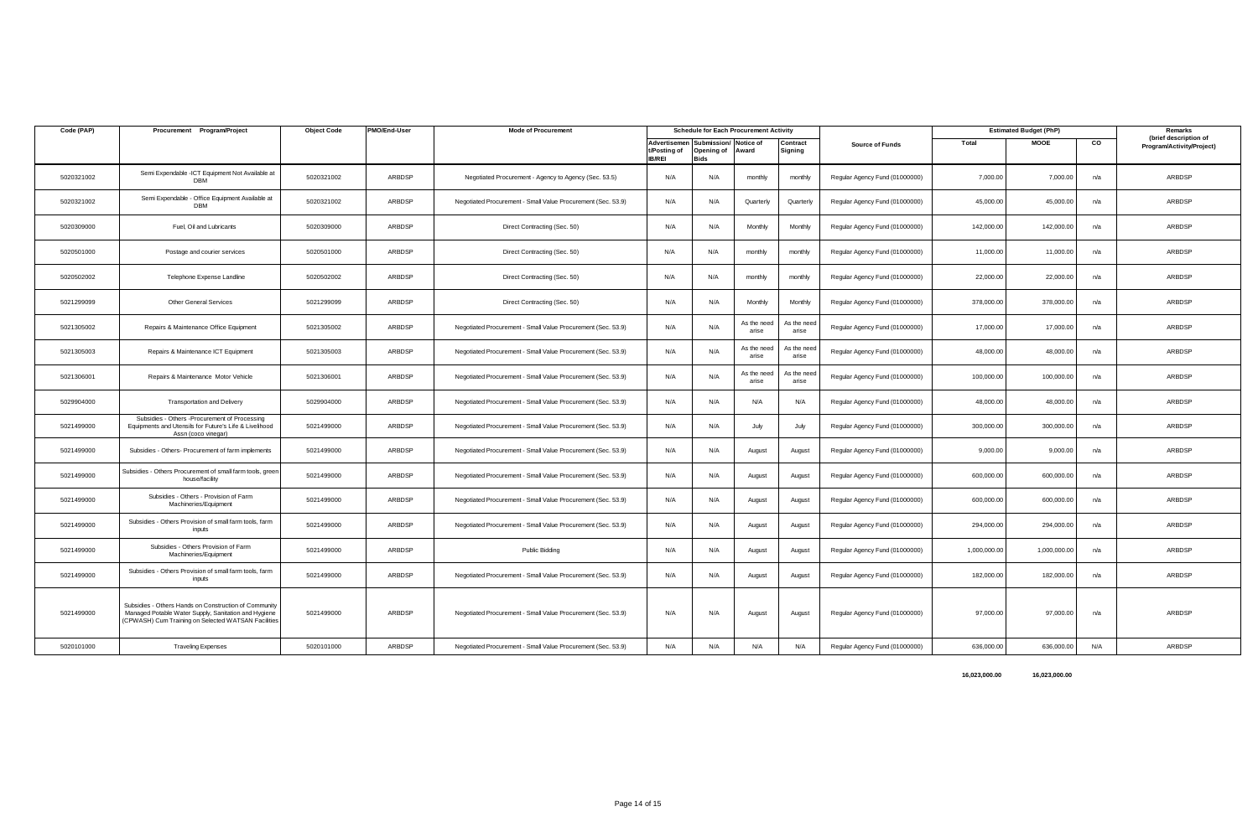| Code (PAP) | Procurement Program/Project                                                                                                                                          | <b>Object Code</b> | PMO/End-User  | <b>Mode of Procurement</b>                                   | <b>Schedule for Each Procurement Activity</b> |                                                   |                      | <b>Estimated Budget (PhP)</b> |                                |              | Remarks      |     |                                                    |
|------------|----------------------------------------------------------------------------------------------------------------------------------------------------------------------|--------------------|---------------|--------------------------------------------------------------|-----------------------------------------------|---------------------------------------------------|----------------------|-------------------------------|--------------------------------|--------------|--------------|-----|----------------------------------------------------|
|            |                                                                                                                                                                      |                    |               |                                                              | Advertisemen<br>t/Posting of<br><b>IB/REI</b> | Submission/ Notice of<br>Opening of Award<br>3ids |                      | Contract<br>Signing           | <b>Source of Funds</b>         | Total        | <b>MOOE</b>  | CO  | (brief description of<br>Program/Activity/Project) |
| 5020321002 | Semi Expendable - ICT Equipment Not Available at<br><b>DBM</b>                                                                                                       | 5020321002         | ARBDSP        | Negotiated Procurement - Agency to Agency (Sec. 53.5)        | N/A                                           | N/A                                               | monthly              | monthly                       | Regular Agency Fund (01000000) | 7,000.00     | 7,000.00     | n/a | ARBDSP                                             |
| 5020321002 | Semi Expendable - Office Equipment Available at<br><b>DBM</b>                                                                                                        | 5020321002         | ARBDSP        | Negotiated Procurement - Small Value Procurement (Sec. 53.9) | N/A                                           | N/A                                               | Quarterly            | Quarterly                     | Regular Agency Fund (01000000) | 45,000.00    | 45,000.00    | n/a | ARBDSP                                             |
| 5020309000 | Fuel, Oil and Lubricants                                                                                                                                             | 5020309000         | ARBDSP        | Direct Contracting (Sec. 50)                                 | N/A                                           | N/A                                               | Monthly              | Monthly                       | Regular Agency Fund (01000000) | 142,000.00   | 142,000.00   | n/a | ARBDSP                                             |
| 5020501000 | Postage and courier services                                                                                                                                         | 5020501000         | ARBDSP        | Direct Contracting (Sec. 50)                                 | N/A                                           | N/A                                               | monthly              | monthly                       | Regular Agency Fund (01000000) | 11,000.00    | 11,000.00    | n/a | ARBDSP                                             |
| 5020502002 | Telephone Expense Landline                                                                                                                                           | 5020502002         | <b>ARBDSP</b> | Direct Contracting (Sec. 50)                                 | N/A                                           | N/A                                               | monthly              | monthly                       | Regular Agency Fund (01000000) | 22,000.00    | 22,000.00    | n/a | ARBDSP                                             |
| 5021299099 | <b>Other General Services</b>                                                                                                                                        | 5021299099         | ARBDSP        | Direct Contracting (Sec. 50)                                 | N/A                                           | N/A                                               | Monthly              | Monthly                       | Regular Agency Fund (01000000) | 378,000.00   | 378,000.00   | n/a | ARBDSP                                             |
| 5021305002 | Repairs & Maintenance Office Equipment                                                                                                                               | 5021305002         | ARBDSP        | Negotiated Procurement - Small Value Procurement (Sec. 53.9) | N/A                                           | N/A                                               | As the need<br>arise | As the need<br>arise          | Regular Agency Fund (01000000) | 17,000.00    | 17,000.00    | n/a | ARBDSP                                             |
| 5021305003 | Repairs & Maintenance ICT Equipment                                                                                                                                  | 5021305003         | ARBDSP        | Negotiated Procurement - Small Value Procurement (Sec. 53.9) | N/A                                           | N/A                                               | As the need<br>arise | As the nee<br>arise           | Regular Agency Fund (01000000) | 48,000.00    | 48,000.00    | n/a | ARBDSP                                             |
| 5021306001 | Repairs & Maintenance Motor Vehicle                                                                                                                                  | 5021306001         | ARBDSP        | Negotiated Procurement - Small Value Procurement (Sec. 53.9) | N/A                                           | N/A                                               | As the need<br>arise | As the nee<br>arise           | Regular Agency Fund (01000000) | 100,000.00   | 100,000.00   | n/a | ARBDSP                                             |
| 5029904000 | <b>Transportation and Delivery</b>                                                                                                                                   | 5029904000         | ARBDSP        | Negotiated Procurement - Small Value Procurement (Sec. 53.9) | N/A                                           | N/A                                               | N/A                  | N/A                           | Regular Agency Fund (01000000) | 48,000.00    | 48,000.00    | n/a | ARBDSP                                             |
| 5021499000 | Subsidies - Others - Procurement of Processing<br>Equipments and Utensils for Future's Life & Livelihood<br>Assn (coco vinegar)                                      | 5021499000         | ARBDSP        | Negotiated Procurement - Small Value Procurement (Sec. 53.9) | N/A                                           | N/A                                               | July                 | July                          | Regular Agency Fund (01000000) | 300,000.00   | 300,000.00   | n/a | ARBDSP                                             |
| 5021499000 | Subsidies - Others- Procurement of farm implements                                                                                                                   | 5021499000         | ARBDSP        | Negotiated Procurement - Small Value Procurement (Sec. 53.9) | N/A                                           | N/A                                               | August               | August                        | Regular Agency Fund (01000000) | 9,000.00     | 9,000.00     | n/a | ARBDSP                                             |
| 5021499000 | Subsidies - Others Procurement of small farm tools, green<br>house/facility                                                                                          | 5021499000         | ARBDSP        | Negotiated Procurement - Small Value Procurement (Sec. 53.9) | N/A                                           | N/A                                               | August               | August                        | Regular Agency Fund (01000000) | 600,000.00   | 600,000.00   | n/a | ARBDSP                                             |
| 5021499000 | Subsidies - Others - Provision of Farm<br>Machineries/Equipment                                                                                                      | 5021499000         | ARBDSP        | Negotiated Procurement - Small Value Procurement (Sec. 53.9) | N/A                                           | N/A                                               | August               | August                        | Regular Agency Fund (01000000) | 600,000.00   | 600,000.00   | n/a | ARBDSP                                             |
| 5021499000 | Subsidies - Others Provision of small farm tools, farm<br>inputs                                                                                                     | 5021499000         | ARBDSP        | Negotiated Procurement - Small Value Procurement (Sec. 53.9) | N/A                                           | N/A                                               | August               | August                        | Regular Agency Fund (01000000) | 294,000.00   | 294,000.00   | n/a | ARBDSP                                             |
| 5021499000 | Subsidies - Others Provision of Farm<br>Machineries/Equipment                                                                                                        | 5021499000         | ARBDSP        | Public Bidding                                               | N/A                                           | N/A                                               | August               | August                        | Regular Agency Fund (01000000) | 1,000,000.00 | 1,000,000.00 | n/a | ARBDSP                                             |
| 5021499000 | Subsidies - Others Provision of small farm tools, farm<br>inputs                                                                                                     | 5021499000         | ARBDSP        | Negotiated Procurement - Small Value Procurement (Sec. 53.9) | N/A                                           | N/A                                               | August               | August                        | Regular Agency Fund (01000000) | 182,000.00   | 182,000.00   | n/a | ARBDSP                                             |
| 5021499000 | Subsidies - Others Hands on Construction of Community<br>Managed Potable Water Supply, Sanitation and Hygiene<br>(CPWASH) Cum Training on Selected WATSAN Facilities | 5021499000         | <b>ARBDSP</b> | Negotiated Procurement - Small Value Procurement (Sec. 53.9) | N/A                                           | N/A                                               | August               | August                        | Regular Agency Fund (01000000) | 97,000.00    | 97,000.00    | n/a | ARBDSP                                             |
| 5020101000 | <b>Traveling Expenses</b>                                                                                                                                            | 5020101000         | ARBDSP        | Negotiated Procurement - Small Value Procurement (Sec. 53.9) | N/A                                           | N/A                                               | N/A                  | N/A                           | Regular Agency Fund (01000000) | 636,000.00   | 636,000.00   | N/A | ARBDSP                                             |

 **16,023,000.00 16,023,000.00**